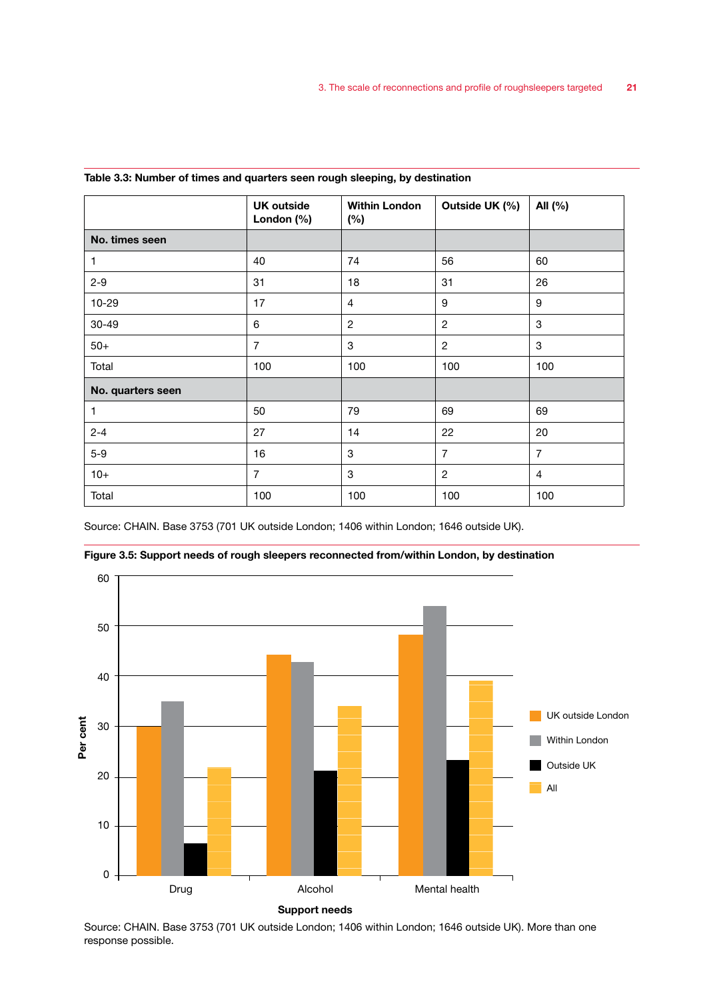|                   | <b>UK outside</b><br>London $(\%)$ | <b>Within London</b><br>(%) | Outside UK (%) | All (%)        |
|-------------------|------------------------------------|-----------------------------|----------------|----------------|
| No. times seen    |                                    |                             |                |                |
| 1                 | 40                                 | 74                          | 56             | 60             |
| $2 - 9$           | 31                                 | 18                          | 31             | 26             |
| 10-29             | 17                                 | $\overline{4}$              | 9              | 9              |
| $30 - 49$         | 6                                  | $\overline{2}$              | $\overline{2}$ | 3              |
| $50+$             | $\overline{7}$                     | 3                           | $\overline{2}$ | 3              |
| Total             | 100                                | 100                         | 100            | 100            |
| No. quarters seen |                                    |                             |                |                |
| 1                 | 50                                 | 79                          | 69             | 69             |
| $2 - 4$           | 27                                 | 14                          | 22             | 20             |
| $5-9$             | 16                                 | 3                           | $\overline{7}$ | $\overline{7}$ |
| $10+$             | $\overline{7}$                     | 3                           | 2              | $\overline{4}$ |
| Total             | 100                                | 100                         | 100            | 100            |

#### Table 3.3: Number of times and quarters seen rough sleeping, by destination

Source: CHAIN. Base 3753 (701 UK outside London; 1406 within London; 1646 outside UK).



Figure 3.5: Support needs of rough sleepers reconnected from/within London, by destination

Source: CHAIN. Base 3753 (701 UK outside London; 1406 within London; 1646 outside UK). More than one response possible.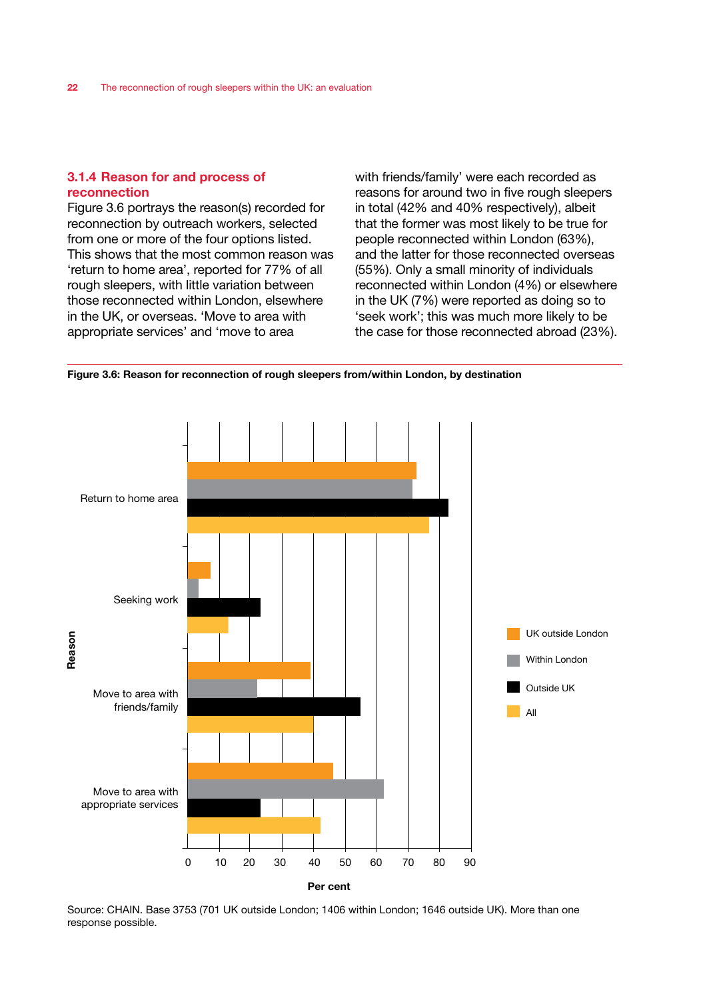# 3.1.4 Reason for and process of reconnection

Figure 3.6 portrays the reason(s) recorded for reconnection by outreach workers, selected from one or more of the four options listed. This shows that the most common reason was 'return to home area', reported for 77% of all rough sleepers, with little variation between those reconnected within London, elsewhere in the UK, or overseas. 'Move to area with appropriate services' and 'move to area

with friends/family' were each recorded as reasons for around two in five rough sleepers in total (42% and 40% respectively), albeit that the former was most likely to be true for people reconnected within London (63%), and the latter for those reconnected overseas (55%). Only a small minority of individuals reconnected within London (4%) or elsewhere in the UK (7%) were reported as doing so to 'seek work'; this was much more likely to be the case for those reconnected abroad (23%).

Figure 3.6: Reason for reconnection of rough sleepers from/within London, by destination



Source: CHAIN. Base 3753 (701 UK outside London; 1406 within London; 1646 outside UK). More than one response possible.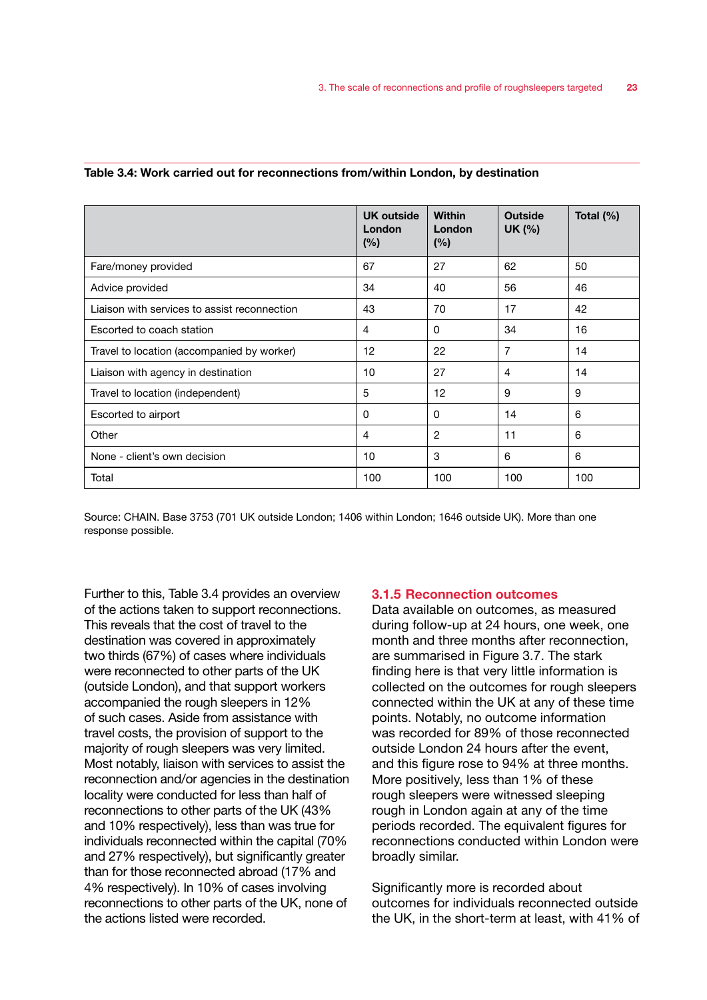|                                              | <b>UK outside</b><br>London<br>(%) | <b>Within</b><br>London<br>(%) | <b>Outside</b><br>UK (%) | Total $(\%)$ |
|----------------------------------------------|------------------------------------|--------------------------------|--------------------------|--------------|
| Fare/money provided                          | 67                                 | 27                             | 62                       | 50           |
| Advice provided                              | 34                                 | 40                             | 56                       | 46           |
| Liaison with services to assist reconnection | 43                                 | 70                             | 17                       | 42           |
| Escorted to coach station                    | 4                                  | 0                              | 34                       | 16           |
| Travel to location (accompanied by worker)   | 12                                 | 22                             | 7                        | 14           |
| Liaison with agency in destination           | 10                                 | 27                             | 4                        | 14           |
| Travel to location (independent)             | 5                                  | 12                             | 9                        | 9            |
| Escorted to airport                          | 0                                  | 0                              | 14                       | 6            |
| Other                                        | 4                                  | 2                              | 11                       | 6            |
| None - client's own decision                 | 10                                 | 3                              | 6                        | 6            |
| Total                                        | 100                                | 100                            | 100                      | 100          |

#### Table 3.4: Work carried out for reconnections from/within London, by destination

Source: CHAIN. Base 3753 (701 UK outside London; 1406 within London; 1646 outside UK). More than one response possible.

Further to this, Table 3.4 provides an overview of the actions taken to support reconnections. This reveals that the cost of travel to the destination was covered in approximately two thirds (67%) of cases where individuals were reconnected to other parts of the UK (outside London), and that support workers accompanied the rough sleepers in 12% of such cases. Aside from assistance with travel costs, the provision of support to the majority of rough sleepers was very limited. Most notably, liaison with services to assist the reconnection and/or agencies in the destination locality were conducted for less than half of reconnections to other parts of the UK (43% and 10% respectively), less than was true for individuals reconnected within the capital (70% and 27% respectively), but significantly greater than for those reconnected abroad (17% and 4% respectively). In 10% of cases involving reconnections to other parts of the UK, none of the actions listed were recorded.

### 3.1.5 Reconnection outcomes

Data available on outcomes, as measured during follow-up at 24 hours, one week, one month and three months after reconnection, are summarised in Figure 3.7. The stark finding here is that very little information is collected on the outcomes for rough sleepers connected within the UK at any of these time points. Notably, no outcome information was recorded for 89% of those reconnected outside London 24 hours after the event, and this figure rose to 94% at three months. More positively, less than 1% of these rough sleepers were witnessed sleeping rough in London again at any of the time periods recorded. The equivalent figures for reconnections conducted within London were broadly similar.

Significantly more is recorded about outcomes for individuals reconnected outside the UK, in the short-term at least, with 41% of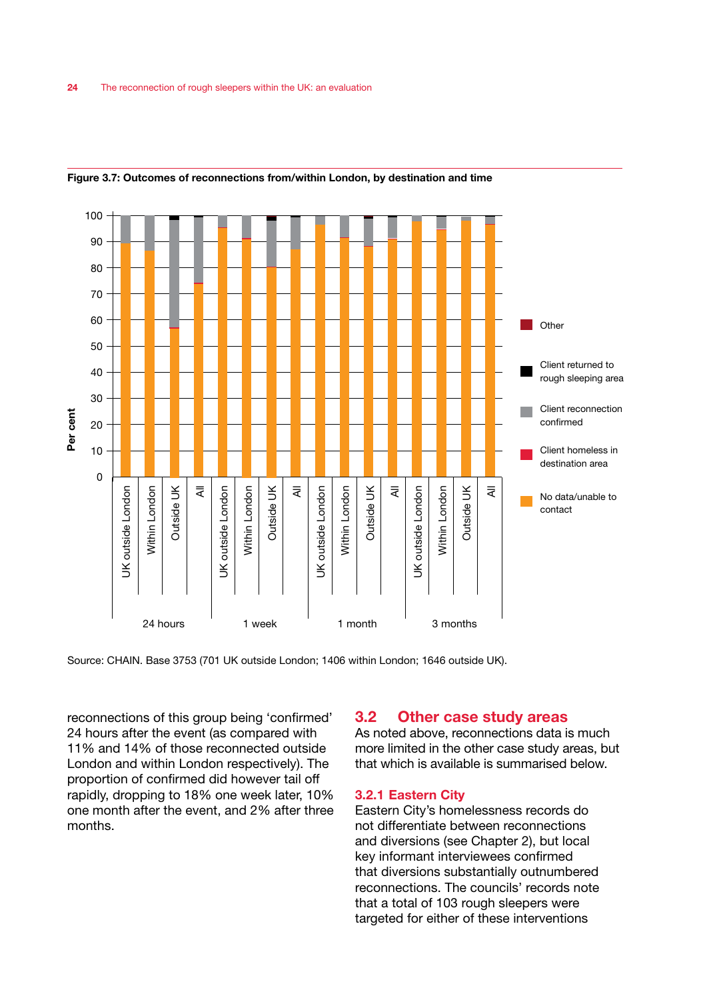

### Figure 3.7: Outcomes of reconnections from/within London, by destination and time

reconnections of this group being 'confirmed' 24 hours after the event (as compared with 11% and 14% of those reconnected outside London and within London respectively). The proportion of confirmed did however tail off rapidly, dropping to 18% one week later, 10% one month after the event, and 2% after three months.

# 3.2 Other case study areas

As noted above, reconnections data is much more limited in the other case study areas, but that which is available is summarised below.

#### 3.2.1 Eastern City

Eastern City's homelessness records do not differentiate between reconnections and diversions (see Chapter 2), but local key informant interviewees confirmed that diversions substantially outnumbered reconnections. The councils' records note that a total of 103 rough sleepers were targeted for either of these interventions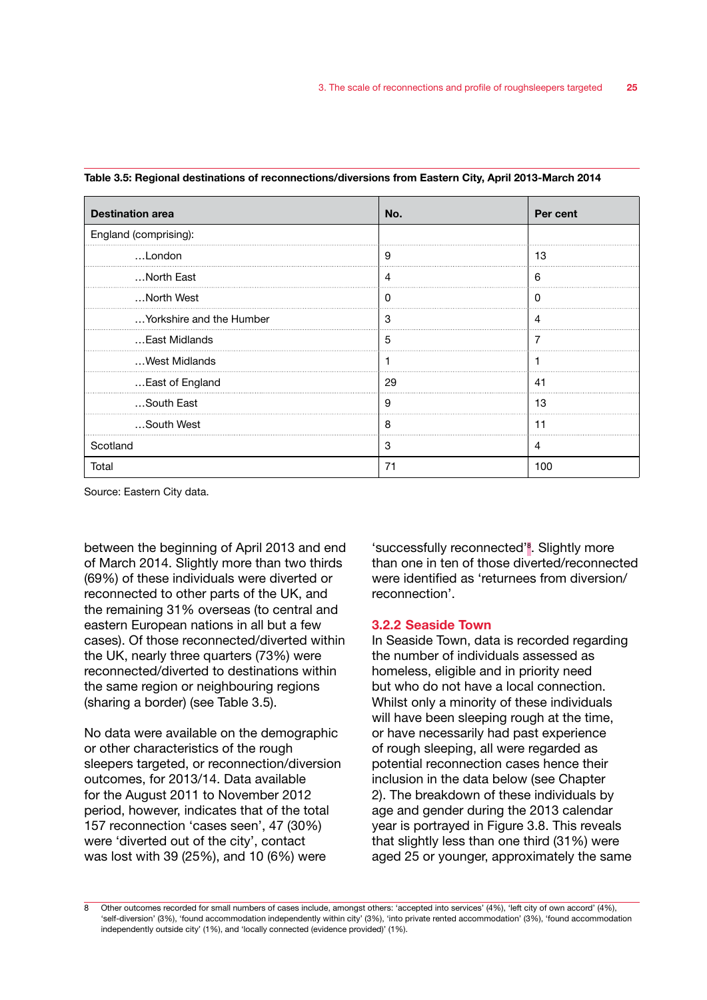| <b>Destination area</b>  | No. | Per cent |
|--------------------------|-----|----------|
| England (comprising):    |     |          |
| London                   | 9   | 13       |
| North East               | 4   | 6        |
| North West               | Ω   | O        |
| Yorkshire and the Humber | 3   | 4        |
| East Midlands            | 5   | 7        |
| West Midlands            |     |          |
| East of England          | 29  | 41       |
| South East               | 9   | 13       |
| South West               | 8   | 11       |
| Scotland                 | 3   | 4        |
| Total                    | 71  | 100      |

Table 3.5: Regional destinations of reconnections/diversions from Eastern City, April 2013-March 2014

Source: Eastern City data.

between the beginning of April 2013 and end of March 2014. Slightly more than two thirds (69%) of these individuals were diverted or reconnected to other parts of the UK, and the remaining 31% overseas (to central and eastern European nations in all but a few cases). Of those reconnected/diverted within the UK, nearly three quarters (73%) were reconnected/diverted to destinations within the same region or neighbouring regions (sharing a border) (see Table 3.5).

No data were available on the demographic or other characteristics of the rough sleepers targeted, or reconnection/diversion outcomes, for 2013/14. Data available for the August 2011 to November 2012 period, however, indicates that of the total 157 reconnection 'cases seen', 47 (30%) were 'diverted out of the city', contact was lost with 39 (25%), and 10 (6%) were

'successfully reconnected'<sup>8</sup>. Slightly more than one in ten of those diverted/reconnected were identified as 'returnees from diversion/ reconnection'.

### 3.2.2 Seaside Town

In Seaside Town, data is recorded regarding the number of individuals assessed as homeless, eligible and in priority need but who do not have a local connection. Whilst only a minority of these individuals will have been sleeping rough at the time, or have necessarily had past experience of rough sleeping, all were regarded as potential reconnection cases hence their inclusion in the data below (see Chapter 2). The breakdown of these individuals by age and gender during the 2013 calendar year is portrayed in Figure 3.8. This reveals that slightly less than one third (31%) were aged 25 or younger, approximately the same

8 Other outcomes recorded for small numbers of cases include, amongst others: 'accepted into services' (4%), 'left city of own accord' (4%), 'self-diversion' (3%), 'found accommodation independently within city' (3%), 'into private rented accommodation' (3%), 'found accommodation independently outside city' (1%), and 'locally connected (evidence provided)' (1%).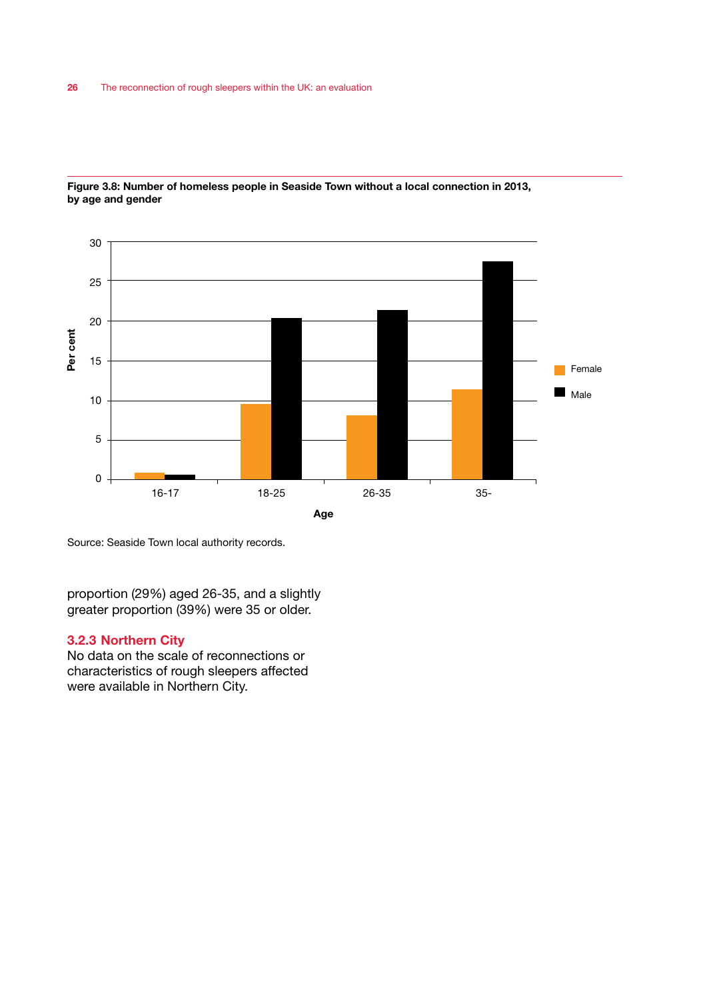

Figure 3.8: Number of homeless people in Seaside Town without a local connection in 2013, by age and gender

Source: Seaside Town local authority records.

proportion (29%) aged 26-35, and a slightly greater proportion (39%) were 35 or older.

### 3.2.3 Northern City

No data on the scale of reconnections or characteristics of rough sleepers affected were available in Northern City.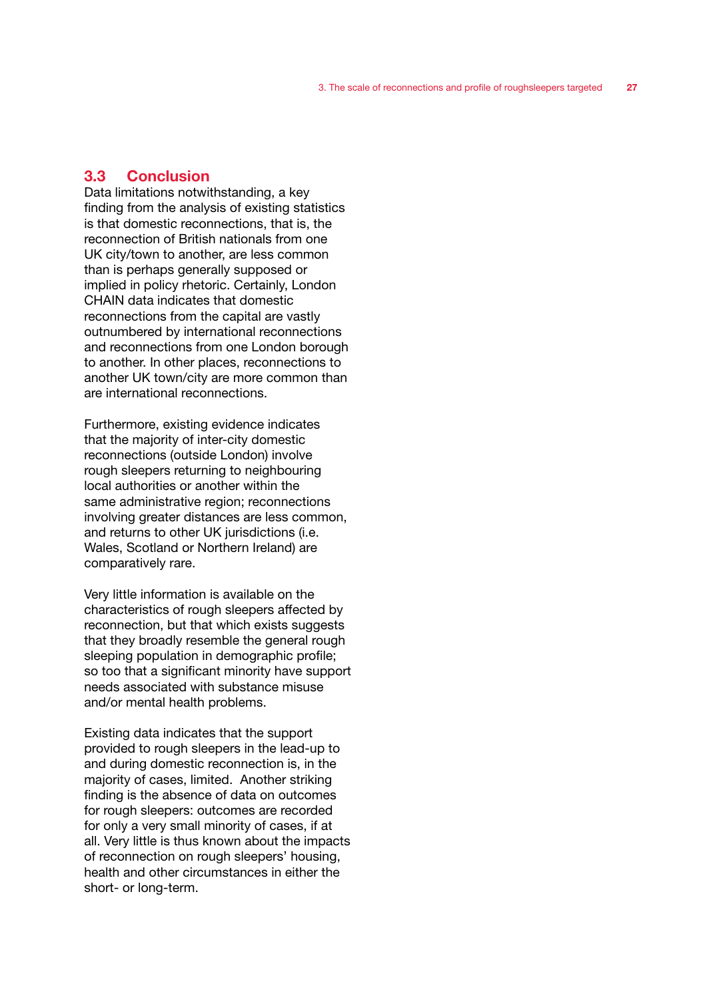# 3.3 Conclusion

Data limitations notwithstanding, a key finding from the analysis of existing statistics is that domestic reconnections, that is, the reconnection of British nationals from one UK city/town to another, are less common than is perhaps generally supposed or implied in policy rhetoric. Certainly, London CHAIN data indicates that domestic reconnections from the capital are vastly outnumbered by international reconnections and reconnections from one London borough to another. In other places, reconnections to another UK town/city are more common than are international reconnections.

Furthermore, existing evidence indicates that the majority of inter-city domestic reconnections (outside London) involve rough sleepers returning to neighbouring local authorities or another within the same administrative region; reconnections involving greater distances are less common, and returns to other UK jurisdictions (i.e. Wales, Scotland or Northern Ireland) are comparatively rare.

Very little information is available on the characteristics of rough sleepers affected by reconnection, but that which exists suggests that they broadly resemble the general rough sleeping population in demographic profile; so too that a significant minority have support needs associated with substance misuse and/or mental health problems.

Existing data indicates that the support provided to rough sleepers in the lead-up to and during domestic reconnection is, in the majority of cases, limited. Another striking finding is the absence of data on outcomes for rough sleepers: outcomes are recorded for only a very small minority of cases, if at all. Very little is thus known about the impacts of reconnection on rough sleepers' housing, health and other circumstances in either the short- or long-term.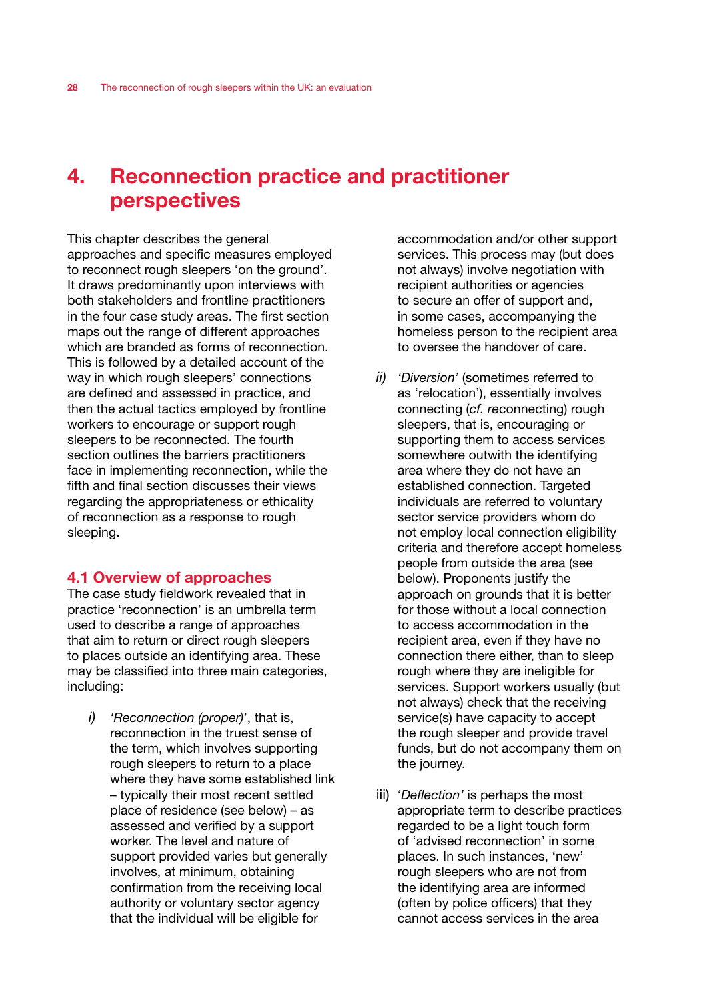# 4. Reconnection practice and practitioner perspectives

This chapter describes the general approaches and specific measures employed to reconnect rough sleepers 'on the ground'. It draws predominantly upon interviews with both stakeholders and frontline practitioners in the four case study areas. The first section maps out the range of different approaches which are branded as forms of reconnection. This is followed by a detailed account of the way in which rough sleepers' connections are defined and assessed in practice, and then the actual tactics employed by frontline workers to encourage or support rough sleepers to be reconnected. The fourth section outlines the barriers practitioners face in implementing reconnection, while the fifth and final section discusses their views regarding the appropriateness or ethicality of reconnection as a response to rough sleeping.

# 4.1 Overview of approaches

The case study fieldwork revealed that in practice 'reconnection' is an umbrella term used to describe a range of approaches that aim to return or direct rough sleepers to places outside an identifying area. These may be classified into three main categories, including:

*i) 'Reconnection (proper)*', that is, reconnection in the truest sense of the term, which involves supporting rough sleepers to return to a place where they have some established link – typically their most recent settled place of residence (see below) – as assessed and verified by a support worker. The level and nature of support provided varies but generally involves, at minimum, obtaining confirmation from the receiving local authority or voluntary sector agency that the individual will be eligible for

accommodation and/or other support services. This process may (but does not always) involve negotiation with recipient authorities or agencies to secure an offer of support and, in some cases, accompanying the homeless person to the recipient area to oversee the handover of care.

- *ii) 'Diversion'* (sometimes referred to as 'relocation'), essentially involves connecting (*cf. re*connecting) rough sleepers, that is, encouraging or supporting them to access services somewhere outwith the identifying area where they do not have an established connection. Targeted individuals are referred to voluntary sector service providers whom do not employ local connection eligibility criteria and therefore accept homeless people from outside the area (see below). Proponents justify the approach on grounds that it is better for those without a local connection to access accommodation in the recipient area, even if they have no connection there either, than to sleep rough where they are ineligible for services. Support workers usually (but not always) check that the receiving service(s) have capacity to accept the rough sleeper and provide travel funds, but do not accompany them on the journey.
- iii) '*Deflection'* is perhaps the most appropriate term to describe practices regarded to be a light touch form of 'advised reconnection' in some places. In such instances, 'new' rough sleepers who are not from the identifying area are informed (often by police officers) that they cannot access services in the area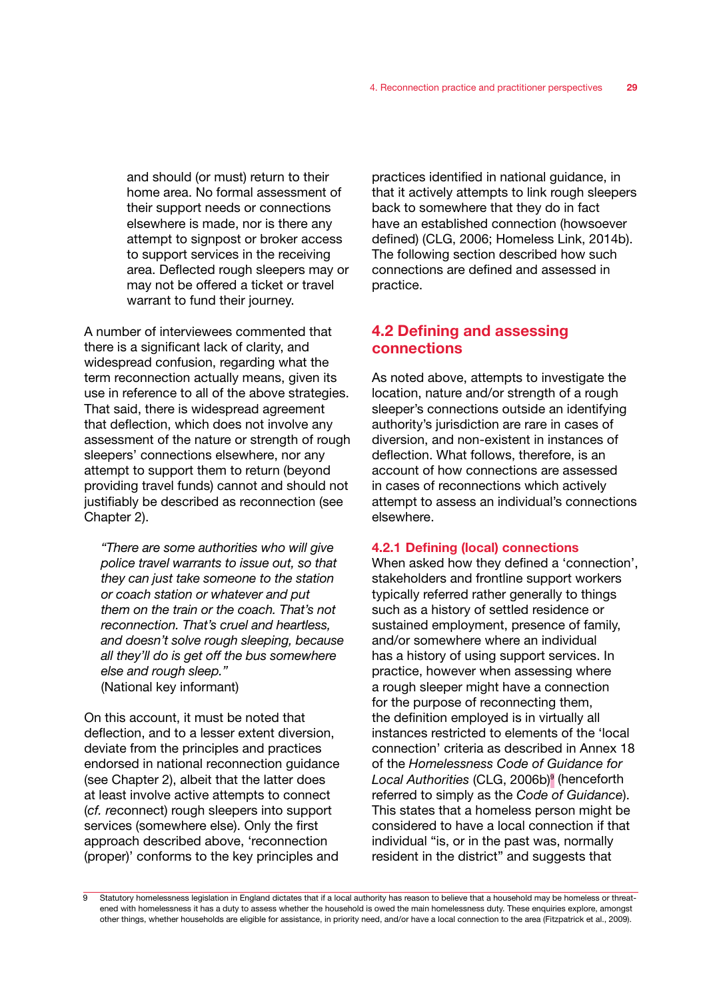and should (or must) return to their home area. No formal assessment of their support needs or connections elsewhere is made, nor is there any attempt to signpost or broker access to support services in the receiving area. Deflected rough sleepers may or may not be offered a ticket or travel warrant to fund their journey.

A number of interviewees commented that there is a significant lack of clarity, and widespread confusion, regarding what the term reconnection actually means, given its use in reference to all of the above strategies. That said, there is widespread agreement that deflection, which does not involve any assessment of the nature or strength of rough sleepers' connections elsewhere, nor any attempt to support them to return (beyond providing travel funds) cannot and should not justifiably be described as reconnection (see Chapter 2).

*"There are some authorities who will give police travel warrants to issue out, so that they can just take someone to the station or coach station or whatever and put them on the train or the coach. That's not reconnection. That's cruel and heartless, and doesn't solve rough sleeping, because all they'll do is get off the bus somewhere else and rough sleep."*  (National key informant)

On this account, it must be noted that deflection, and to a lesser extent diversion, deviate from the principles and practices endorsed in national reconnection guidance (see Chapter 2), albeit that the latter does at least involve active attempts to connect (*cf. re*connect) rough sleepers into support services (somewhere else). Only the first approach described above, 'reconnection (proper)' conforms to the key principles and

practices identified in national guidance, in that it actively attempts to link rough sleepers back to somewhere that they do in fact have an established connection (howsoever defined) (CLG, 2006; Homeless Link, 2014b). The following section described how such connections are defined and assessed in practice.

# 4.2 Defining and assessing connections

As noted above, attempts to investigate the location, nature and/or strength of a rough sleeper's connections outside an identifying authority's jurisdiction are rare in cases of diversion, and non-existent in instances of deflection. What follows, therefore, is an account of how connections are assessed in cases of reconnections which actively attempt to assess an individual's connections elsewhere.

#### 4.2.1 Defining (local) connections

When asked how they defined a 'connection', stakeholders and frontline support workers typically referred rather generally to things such as a history of settled residence or sustained employment, presence of family, and/or somewhere where an individual has a history of using support services. In practice, however when assessing where a rough sleeper might have a connection for the purpose of reconnecting them, the definition employed is in virtually all instances restricted to elements of the 'local connection' criteria as described in Annex 18 of the *Homelessness Code of Guidance for*  Local Authorities (CLG, 2006b)<sup>9</sup> (henceforth referred to simply as the *Code of Guidance*). This states that a homeless person might be considered to have a local connection if that individual "is, or in the past was, normally resident in the district" and suggests that

Statutory homelessness legislation in England dictates that if a local authority has reason to believe that a household may be homeless or threatened with homelessness it has a duty to assess whether the household is owed the main homelessness duty. These enquiries explore, amongst other things, whether households are eligible for assistance, in priority need, and/or have a local connection to the area (Fitzpatrick et al., 2009).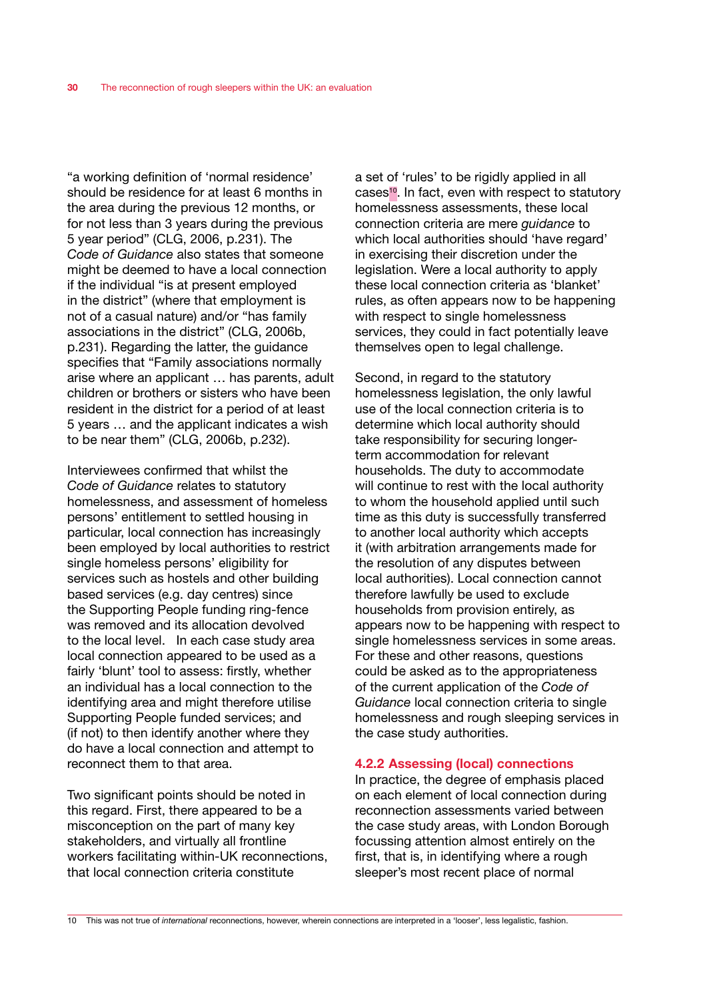"a working definition of 'normal residence' should be residence for at least 6 months in the area during the previous 12 months, or for not less than 3 years during the previous 5 year period" (CLG, 2006, p.231). The *Code of Guidance* also states that someone might be deemed to have a local connection if the individual "is at present employed in the district" (where that employment is not of a casual nature) and/or "has family associations in the district" (CLG, 2006b, p.231). Regarding the latter, the guidance specifies that "Family associations normally arise where an applicant … has parents, adult children or brothers or sisters who have been resident in the district for a period of at least 5 years … and the applicant indicates a wish to be near them" (CLG, 2006b, p.232).

Interviewees confirmed that whilst the *Code of Guidance* relates to statutory homelessness, and assessment of homeless persons' entitlement to settled housing in particular, local connection has increasingly been employed by local authorities to restrict single homeless persons' eligibility for services such as hostels and other building based services (e.g. day centres) since the Supporting People funding ring-fence was removed and its allocation devolved to the local level. In each case study area local connection appeared to be used as a fairly 'blunt' tool to assess: firstly, whether an individual has a local connection to the identifying area and might therefore utilise Supporting People funded services; and (if not) to then identify another where they do have a local connection and attempt to reconnect them to that area.

Two significant points should be noted in this regard. First, there appeared to be a misconception on the part of many key stakeholders, and virtually all frontline workers facilitating within-UK reconnections, that local connection criteria constitute

a set of 'rules' to be rigidly applied in all cases10. In fact, even with respect to statutory homelessness assessments, these local connection criteria are mere *guidance* to which local authorities should 'have regard' in exercising their discretion under the legislation. Were a local authority to apply these local connection criteria as 'blanket' rules, as often appears now to be happening with respect to single homelessness services, they could in fact potentially leave themselves open to legal challenge.

Second, in regard to the statutory homelessness legislation, the only lawful use of the local connection criteria is to determine which local authority should take responsibility for securing longerterm accommodation for relevant households. The duty to accommodate will continue to rest with the local authority to whom the household applied until such time as this duty is successfully transferred to another local authority which accepts it (with arbitration arrangements made for the resolution of any disputes between local authorities). Local connection cannot therefore lawfully be used to exclude households from provision entirely, as appears now to be happening with respect to single homelessness services in some areas. For these and other reasons, questions could be asked as to the appropriateness of the current application of the *Code of Guidance* local connection criteria to single homelessness and rough sleeping services in the case study authorities.

### 4.2.2 Assessing (local) connections

In practice, the degree of emphasis placed on each element of local connection during reconnection assessments varied between the case study areas, with London Borough focussing attention almost entirely on the first, that is, in identifying where a rough sleeper's most recent place of normal

<sup>10</sup> This was not true of *international* reconnections, however, wherein connections are interpreted in a 'looser', less legalistic, fashion.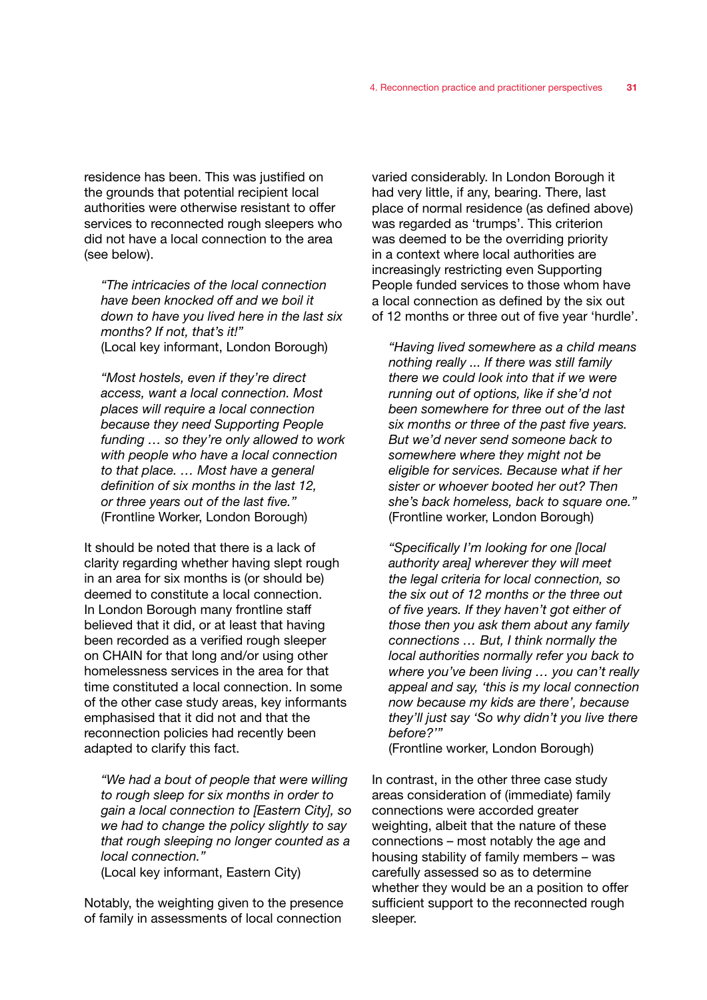residence has been. This was justified on the grounds that potential recipient local authorities were otherwise resistant to offer services to reconnected rough sleepers who did not have a local connection to the area (see below).

*"The intricacies of the local connection have been knocked off and we boil it down to have you lived here in the last six months? If not, that's it!"*  (Local key informant, London Borough)

*"Most hostels, even if they're direct access, want a local connection. Most places will require a local connection because they need Supporting People funding … so they're only allowed to work with people who have a local connection to that place. … Most have a general definition of six months in the last 12, or three years out of the last five."*  (Frontline Worker, London Borough)

It should be noted that there is a lack of clarity regarding whether having slept rough in an area for six months is (or should be) deemed to constitute a local connection. In London Borough many frontline staff believed that it did, or at least that having been recorded as a verified rough sleeper on CHAIN for that long and/or using other homelessness services in the area for that time constituted a local connection. In some of the other case study areas, key informants emphasised that it did not and that the reconnection policies had recently been adapted to clarify this fact.

*"We had a bout of people that were willing to rough sleep for six months in order to gain a local connection to [Eastern City], so we had to change the policy slightly to say that rough sleeping no longer counted as a local connection."* 

(Local key informant, Eastern City)

Notably, the weighting given to the presence of family in assessments of local connection

varied considerably. In London Borough it had very little, if any, bearing. There, last place of normal residence (as defined above) was regarded as 'trumps'. This criterion was deemed to be the overriding priority in a context where local authorities are increasingly restricting even Supporting People funded services to those whom have a local connection as defined by the six out of 12 months or three out of five year 'hurdle'.

*"Having lived somewhere as a child means nothing really ... If there was still family there we could look into that if we were running out of options, like if she'd not been somewhere for three out of the last six months or three of the past five years. But we'd never send someone back to somewhere where they might not be eligible for services. Because what if her sister or whoever booted her out? Then she's back homeless, back to square one."*  (Frontline worker, London Borough)

*"Specifically I'm looking for one [local authority area] wherever they will meet the legal criteria for local connection, so the six out of 12 months or the three out of five years. If they haven't got either of those then you ask them about any family connections … But, I think normally the local authorities normally refer you back to where you've been living … you can't really appeal and say, 'this is my local connection now because my kids are there', because they'll just say 'So why didn't you live there before?'"* 

(Frontline worker, London Borough)

In contrast, in the other three case study areas consideration of (immediate) family connections were accorded greater weighting, albeit that the nature of these connections – most notably the age and housing stability of family members – was carefully assessed so as to determine whether they would be an a position to offer sufficient support to the reconnected rough sleeper.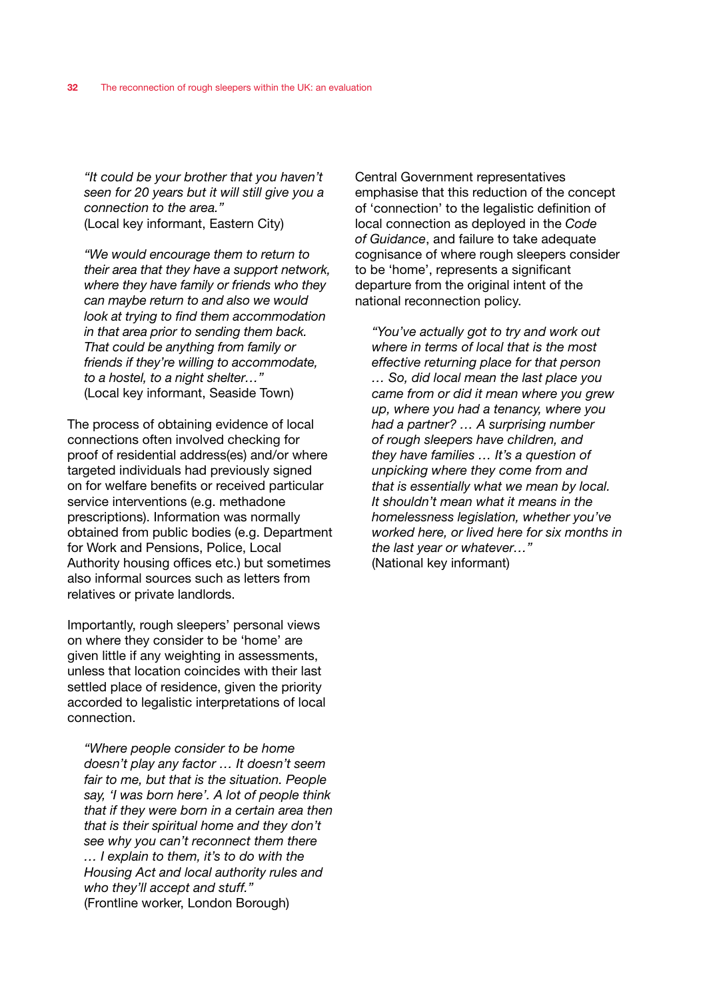*"It could be your brother that you haven't seen for 20 years but it will still give you a connection to the area."*  (Local key informant, Eastern City)

*"We would encourage them to return to their area that they have a support network, where they have family or friends who they can maybe return to and also we would look at trying to find them accommodation in that area prior to sending them back. That could be anything from family or friends if they're willing to accommodate, to a hostel, to a night shelter…"*  (Local key informant, Seaside Town)

The process of obtaining evidence of local connections often involved checking for proof of residential address(es) and/or where targeted individuals had previously signed on for welfare benefits or received particular service interventions (e.g. methadone prescriptions). Information was normally obtained from public bodies (e.g. Department for Work and Pensions, Police, Local Authority housing offices etc.) but sometimes also informal sources such as letters from relatives or private landlords.

Importantly, rough sleepers' personal views on where they consider to be 'home' are given little if any weighting in assessments, unless that location coincides with their last settled place of residence, given the priority accorded to legalistic interpretations of local connection.

*"Where people consider to be home doesn't play any factor … It doesn't seem fair to me, but that is the situation. People say, 'I was born here'. A lot of people think that if they were born in a certain area then that is their spiritual home and they don't see why you can't reconnect them there … I explain to them, it's to do with the Housing Act and local authority rules and who they'll accept and stuff."*  (Frontline worker, London Borough)

Central Government representatives emphasise that this reduction of the concept of 'connection' to the legalistic definition of local connection as deployed in the *Code of Guidance*, and failure to take adequate cognisance of where rough sleepers consider to be 'home', represents a significant departure from the original intent of the national reconnection policy.

*"You've actually got to try and work out where in terms of local that is the most effective returning place for that person … So, did local mean the last place you came from or did it mean where you grew up, where you had a tenancy, where you had a partner? … A surprising number of rough sleepers have children, and they have families … It's a question of unpicking where they come from and that is essentially what we mean by local. It shouldn't mean what it means in the homelessness legislation, whether you've worked here, or lived here for six months in the last year or whatever…"*  (National key informant)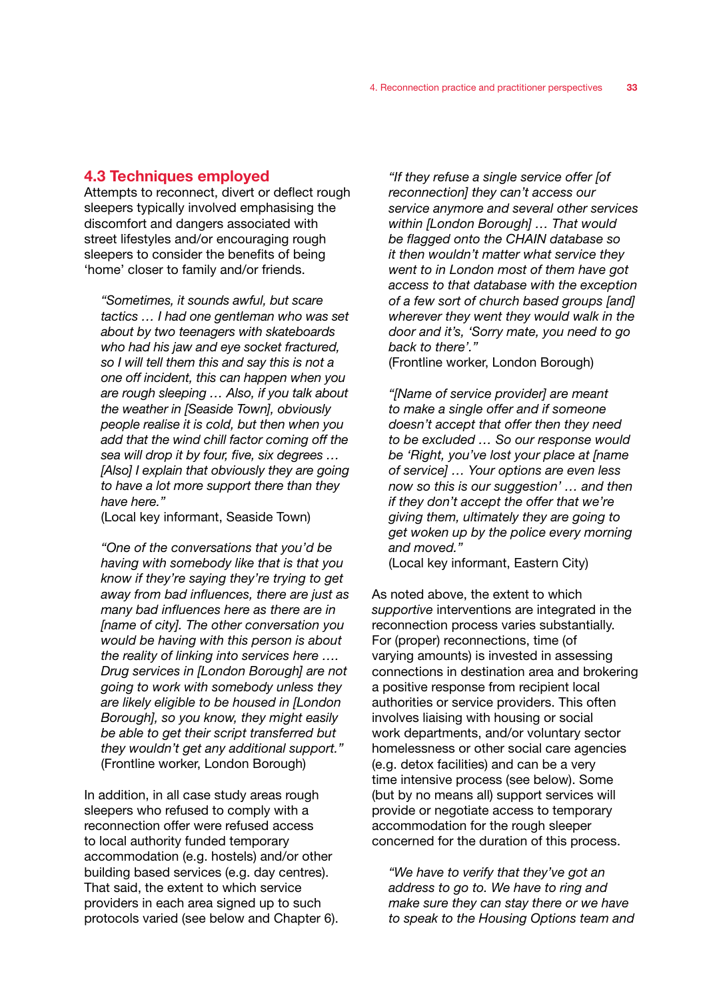### 4.3 Techniques employed

Attempts to reconnect, divert or deflect rough sleepers typically involved emphasising the discomfort and dangers associated with street lifestyles and/or encouraging rough sleepers to consider the benefits of being 'home' closer to family and/or friends.

*"Sometimes, it sounds awful, but scare tactics … I had one gentleman who was set about by two teenagers with skateboards who had his jaw and eye socket fractured, so I will tell them this and say this is not a one off incident, this can happen when you are rough sleeping … Also, if you talk about the weather in [Seaside Town], obviously people realise it is cold, but then when you add that the wind chill factor coming off the sea will drop it by four, five, six degrees … [Also] I explain that obviously they are going to have a lot more support there than they have here."* 

(Local key informant, Seaside Town)

*"One of the conversations that you'd be having with somebody like that is that you know if they're saying they're trying to get away from bad influences, there are just as many bad influences here as there are in [name of city]. The other conversation you would be having with this person is about the reality of linking into services here …. Drug services in [London Borough] are not going to work with somebody unless they are likely eligible to be housed in [London Borough], so you know, they might easily be able to get their script transferred but they wouldn't get any additional support."*  (Frontline worker, London Borough)

In addition, in all case study areas rough sleepers who refused to comply with a reconnection offer were refused access to local authority funded temporary accommodation (e.g. hostels) and/or other building based services (e.g. day centres). That said, the extent to which service providers in each area signed up to such protocols varied (see below and Chapter 6).

*"If they refuse a single service offer [of reconnection] they can't access our service anymore and several other services within [London Borough] … That would be flagged onto the CHAIN database so it then wouldn't matter what service they went to in London most of them have got access to that database with the exception of a few sort of church based groups [and] wherever they went they would walk in the door and it's, 'Sorry mate, you need to go back to there'."* 

(Frontline worker, London Borough)

*"[Name of service provider] are meant to make a single offer and if someone doesn't accept that offer then they need to be excluded … So our response would be 'Right, you've lost your place at [name of service] … Your options are even less now so this is our suggestion' … and then if they don't accept the offer that we're giving them, ultimately they are going to get woken up by the police every morning and moved."* 

(Local key informant, Eastern City)

As noted above, the extent to which *supportive* interventions are integrated in the reconnection process varies substantially. For (proper) reconnections, time (of varying amounts) is invested in assessing connections in destination area and brokering a positive response from recipient local authorities or service providers. This often involves liaising with housing or social work departments, and/or voluntary sector homelessness or other social care agencies (e.g. detox facilities) and can be a very time intensive process (see below). Some (but by no means all) support services will provide or negotiate access to temporary accommodation for the rough sleeper concerned for the duration of this process.

*"We have to verify that they've got an address to go to. We have to ring and make sure they can stay there or we have to speak to the Housing Options team and*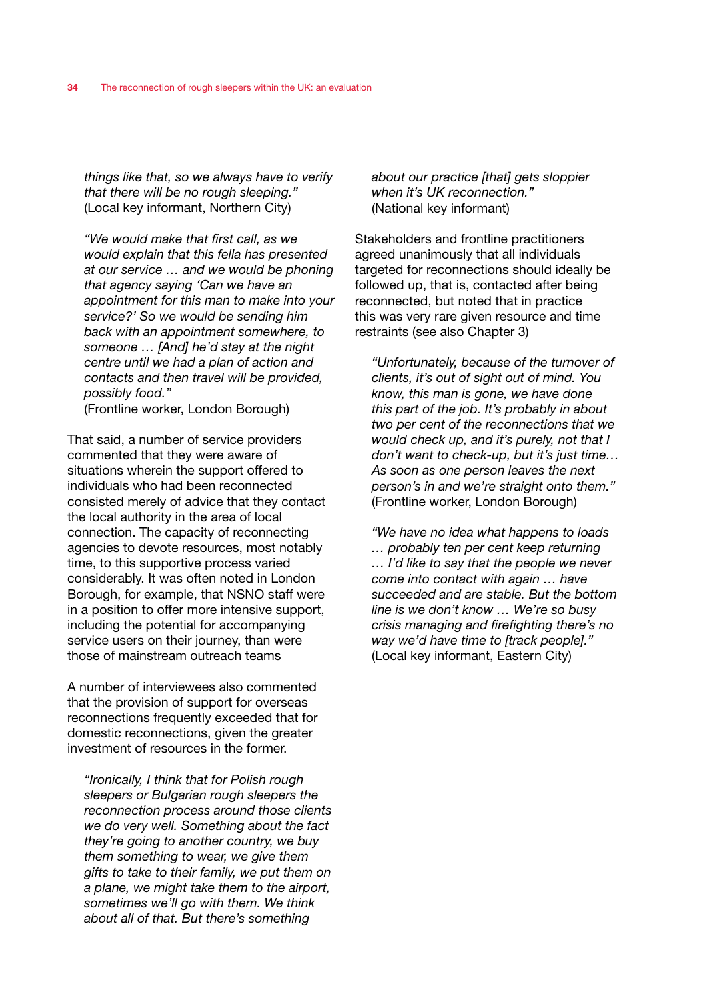*things like that, so we always have to verify that there will be no rough sleeping."*  (Local key informant, Northern City)

*"We would make that first call, as we would explain that this fella has presented at our service … and we would be phoning that agency saying 'Can we have an appointment for this man to make into your service?' So we would be sending him back with an appointment somewhere, to someone … [And] he'd stay at the night centre until we had a plan of action and contacts and then travel will be provided, possibly food."* 

(Frontline worker, London Borough)

That said, a number of service providers commented that they were aware of situations wherein the support offered to individuals who had been reconnected consisted merely of advice that they contact the local authority in the area of local connection. The capacity of reconnecting agencies to devote resources, most notably time, to this supportive process varied considerably. It was often noted in London Borough, for example, that NSNO staff were in a position to offer more intensive support, including the potential for accompanying service users on their journey, than were those of mainstream outreach teams

A number of interviewees also commented that the provision of support for overseas reconnections frequently exceeded that for domestic reconnections, given the greater investment of resources in the former.

*"Ironically, I think that for Polish rough sleepers or Bulgarian rough sleepers the reconnection process around those clients we do very well. Something about the fact they're going to another country, we buy them something to wear, we give them gifts to take to their family, we put them on a plane, we might take them to the airport, sometimes we'll go with them. We think about all of that. But there's something* 

*about our practice [that] gets sloppier when it's UK reconnection."*  (National key informant)

Stakeholders and frontline practitioners agreed unanimously that all individuals targeted for reconnections should ideally be followed up, that is, contacted after being reconnected, but noted that in practice this was very rare given resource and time restraints (see also Chapter 3)

*"Unfortunately, because of the turnover of clients, it's out of sight out of mind. You know, this man is gone, we have done this part of the job. It's probably in about two per cent of the reconnections that we would check up, and it's purely, not that I don't want to check-up, but it's just time… As soon as one person leaves the next person's in and we're straight onto them."*  (Frontline worker, London Borough)

*"We have no idea what happens to loads … probably ten per cent keep returning … I'd like to say that the people we never come into contact with again … have succeeded and are stable. But the bottom line is we don't know … We're so busy crisis managing and firefighting there's no way we'd have time to [track people]."*  (Local key informant, Eastern City)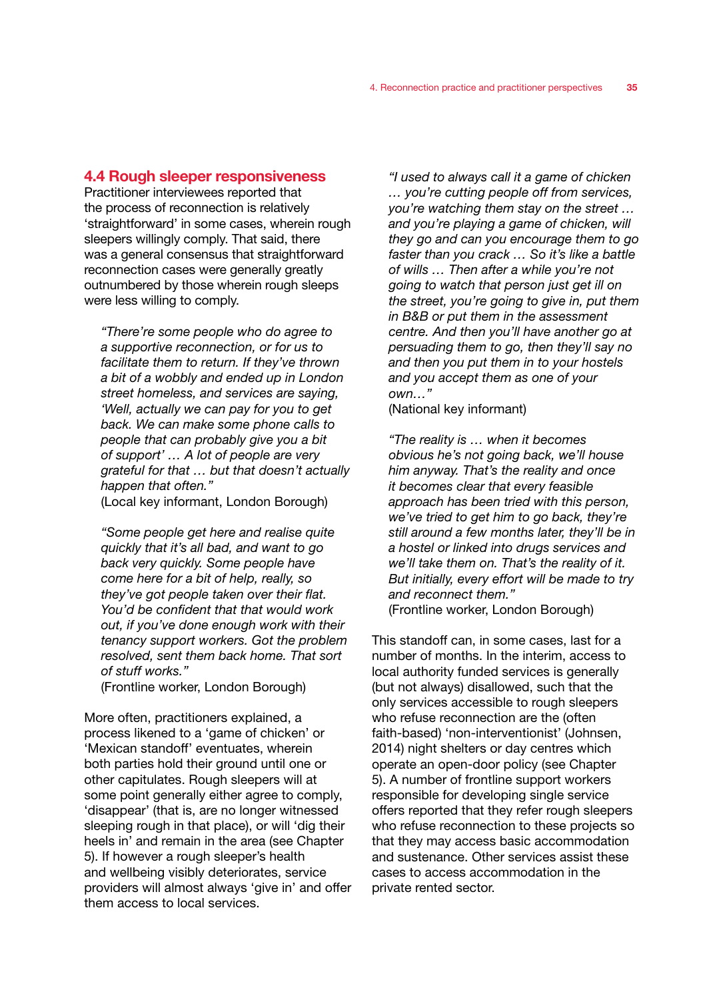### 4.4 Rough sleeper responsiveness

Practitioner interviewees reported that the process of reconnection is relatively 'straightforward' in some cases, wherein rough sleepers willingly comply. That said, there was a general consensus that straightforward reconnection cases were generally greatly outnumbered by those wherein rough sleeps were less willing to comply.

*"There're some people who do agree to a supportive reconnection, or for us to facilitate them to return. If they've thrown a bit of a wobbly and ended up in London street homeless, and services are saying, 'Well, actually we can pay for you to get back. We can make some phone calls to people that can probably give you a bit of support' … A lot of people are very grateful for that … but that doesn't actually happen that often."* 

(Local key informant, London Borough)

*"Some people get here and realise quite quickly that it's all bad, and want to go back very quickly. Some people have come here for a bit of help, really, so they've got people taken over their flat. You'd be confident that that would work out, if you've done enough work with their tenancy support workers. Got the problem resolved, sent them back home. That sort of stuff works."*  (Frontline worker, London Borough)

More often, practitioners explained, a process likened to a 'game of chicken' or 'Mexican standoff' eventuates, wherein both parties hold their ground until one or other capitulates. Rough sleepers will at some point generally either agree to comply, 'disappear' (that is, are no longer witnessed sleeping rough in that place), or will 'dig their heels in' and remain in the area (see Chapter 5). If however a rough sleeper's health and wellbeing visibly deteriorates, service providers will almost always 'give in' and offer them access to local services.

*"I used to always call it a game of chicken … you're cutting people off from services, you're watching them stay on the street … and you're playing a game of chicken, will they go and can you encourage them to go faster than you crack … So it's like a battle of wills … Then after a while you're not going to watch that person just get ill on the street, you're going to give in, put them in B&B or put them in the assessment centre. And then you'll have another go at persuading them to go, then they'll say no and then you put them in to your hostels and you accept them as one of your own…"* 

(National key informant)

*"The reality is … when it becomes obvious he's not going back, we'll house him anyway. That's the reality and once it becomes clear that every feasible approach has been tried with this person, we've tried to get him to go back, they're still around a few months later, they'll be in a hostel or linked into drugs services and we'll take them on. That's the reality of it. But initially, every effort will be made to try and reconnect them."*  (Frontline worker, London Borough)

This standoff can, in some cases, last for a number of months. In the interim, access to local authority funded services is generally (but not always) disallowed, such that the only services accessible to rough sleepers who refuse reconnection are the (often faith-based) 'non-interventionist' (Johnsen, 2014) night shelters or day centres which operate an open-door policy (see Chapter 5). A number of frontline support workers responsible for developing single service offers reported that they refer rough sleepers who refuse reconnection to these projects so that they may access basic accommodation and sustenance. Other services assist these cases to access accommodation in the private rented sector.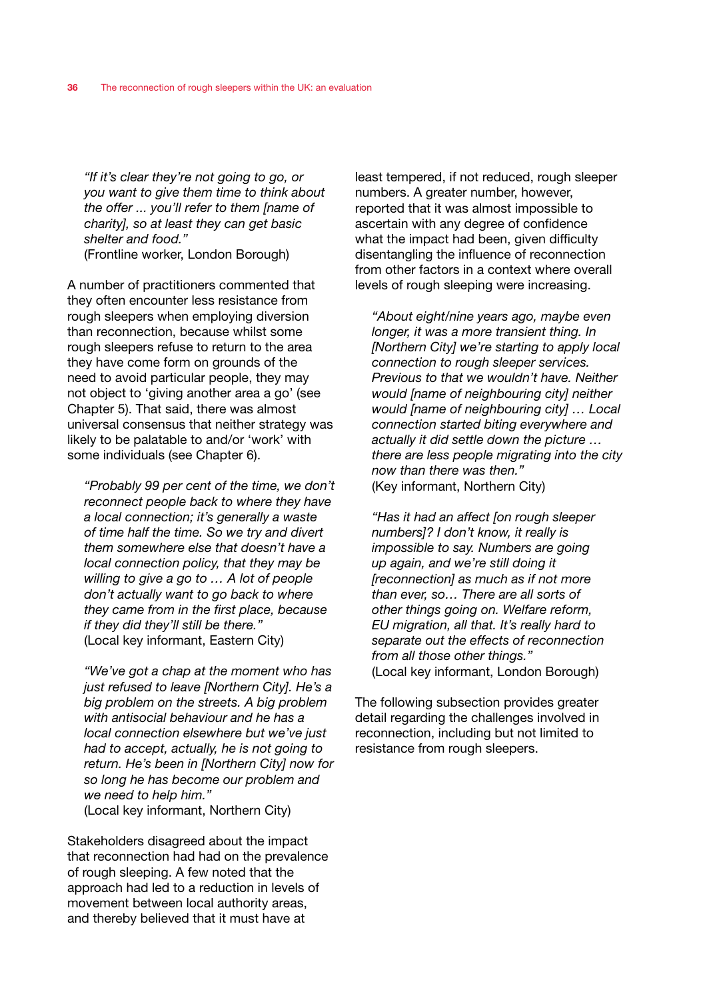*"If it's clear they're not going to go, or you want to give them time to think about the offer ... you'll refer to them [name of charity], so at least they can get basic shelter and food."* 

(Frontline worker, London Borough)

A number of practitioners commented that they often encounter less resistance from rough sleepers when employing diversion than reconnection, because whilst some rough sleepers refuse to return to the area they have come form on grounds of the need to avoid particular people, they may not object to 'giving another area a go' (see Chapter 5). That said, there was almost universal consensus that neither strategy was likely to be palatable to and/or 'work' with some individuals (see Chapter 6).

*"Probably 99 per cent of the time, we don't reconnect people back to where they have a local connection; it's generally a waste of time half the time. So we try and divert them somewhere else that doesn't have a local connection policy, that they may be willing to give a go to … A lot of people don't actually want to go back to where they came from in the first place, because if they did they'll still be there."*  (Local key informant, Eastern City)

*"We've got a chap at the moment who has just refused to leave [Northern City]. He's a big problem on the streets. A big problem with antisocial behaviour and he has a local connection elsewhere but we've just had to accept, actually, he is not going to return. He's been in [Northern City] now for so long he has become our problem and we need to help him."*  (Local key informant, Northern City)

Stakeholders disagreed about the impact that reconnection had had on the prevalence of rough sleeping. A few noted that the approach had led to a reduction in levels of movement between local authority areas, and thereby believed that it must have at

least tempered, if not reduced, rough sleeper numbers. A greater number, however, reported that it was almost impossible to ascertain with any degree of confidence what the impact had been, given difficulty disentangling the influence of reconnection from other factors in a context where overall levels of rough sleeping were increasing.

*"About eight/nine years ago, maybe even longer, it was a more transient thing. In [Northern City] we're starting to apply local connection to rough sleeper services. Previous to that we wouldn't have. Neither would [name of neighbouring city] neither would [name of neighbouring city] … Local connection started biting everywhere and actually it did settle down the picture … there are less people migrating into the city now than there was then."*  (Key informant, Northern City)

*"Has it had an affect [on rough sleeper numbers]? I don't know, it really is impossible to say. Numbers are going up again, and we're still doing it [reconnection] as much as if not more than ever, so… There are all sorts of other things going on. Welfare reform, EU migration, all that. It's really hard to separate out the effects of reconnection from all those other things."*  (Local key informant, London Borough)

The following subsection provides greater detail regarding the challenges involved in reconnection, including but not limited to resistance from rough sleepers.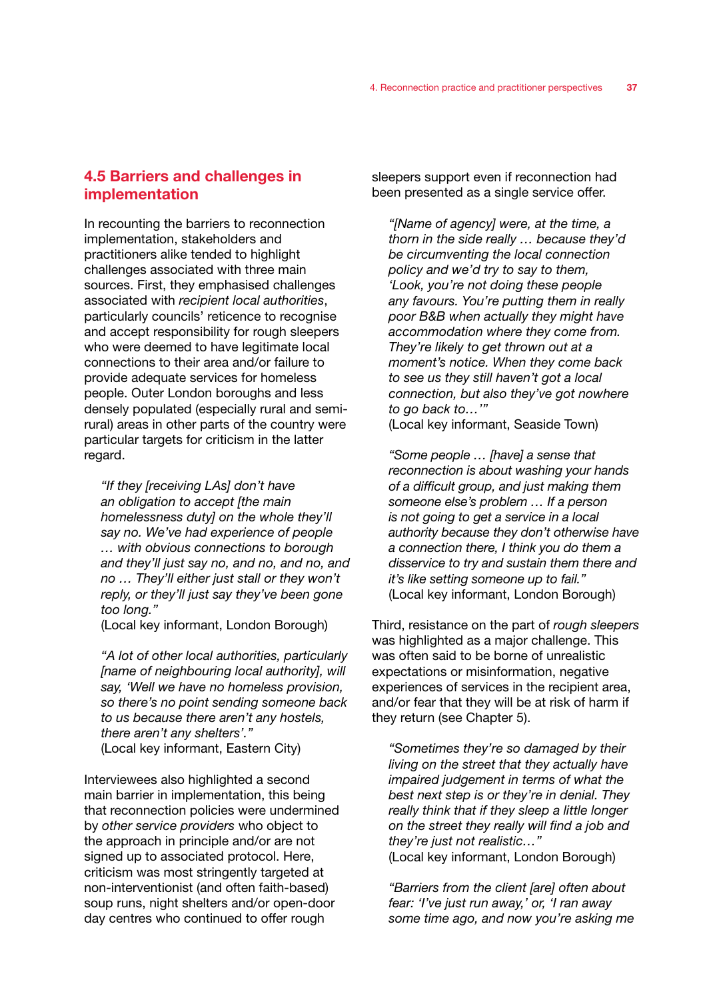# 4.5 Barriers and challenges in implementation

In recounting the barriers to reconnection implementation, stakeholders and practitioners alike tended to highlight challenges associated with three main sources. First, they emphasised challenges associated with *recipient local authorities*, particularly councils' reticence to recognise and accept responsibility for rough sleepers who were deemed to have legitimate local connections to their area and/or failure to provide adequate services for homeless people. Outer London boroughs and less densely populated (especially rural and semirural) areas in other parts of the country were particular targets for criticism in the latter regard.

*"If they [receiving LAs] don't have an obligation to accept [the main homelessness duty] on the whole they'll say no. We've had experience of people … with obvious connections to borough and they'll just say no, and no, and no, and no … They'll either just stall or they won't reply, or they'll just say they've been gone too long."* 

(Local key informant, London Borough)

*"A lot of other local authorities, particularly [name of neighbouring local authority], will say, 'Well we have no homeless provision, so there's no point sending someone back to us because there aren't any hostels, there aren't any shelters'."*  (Local key informant, Eastern City)

Interviewees also highlighted a second main barrier in implementation, this being that reconnection policies were undermined by *other service providers* who object to the approach in principle and/or are not signed up to associated protocol. Here, criticism was most stringently targeted at non-interventionist (and often faith-based) soup runs, night shelters and/or open-door day centres who continued to offer rough

sleepers support even if reconnection had been presented as a single service offer.

*"[Name of agency] were, at the time, a thorn in the side really … because they'd be circumventing the local connection policy and we'd try to say to them, 'Look, you're not doing these people any favours. You're putting them in really poor B&B when actually they might have accommodation where they come from. They're likely to get thrown out at a moment's notice. When they come back to see us they still haven't got a local connection, but also they've got nowhere to go back to…'"* 

(Local key informant, Seaside Town)

*"Some people … [have] a sense that reconnection is about washing your hands of a difficult group, and just making them someone else's problem … If a person is not going to get a service in a local authority because they don't otherwise have a connection there, I think you do them a disservice to try and sustain them there and it's like setting someone up to fail."*  (Local key informant, London Borough)

Third, resistance on the part of *rough sleepers*  was highlighted as a major challenge. This was often said to be borne of unrealistic expectations or misinformation, negative experiences of services in the recipient area, and/or fear that they will be at risk of harm if they return (see Chapter 5).

*"Sometimes they're so damaged by their living on the street that they actually have impaired judgement in terms of what the best next step is or they're in denial. They really think that if they sleep a little longer on the street they really will find a job and they're just not realistic…"*  (Local key informant, London Borough)

*"Barriers from the client [are] often about fear: 'I've just run away,' or, 'I ran away some time ago, and now you're asking me*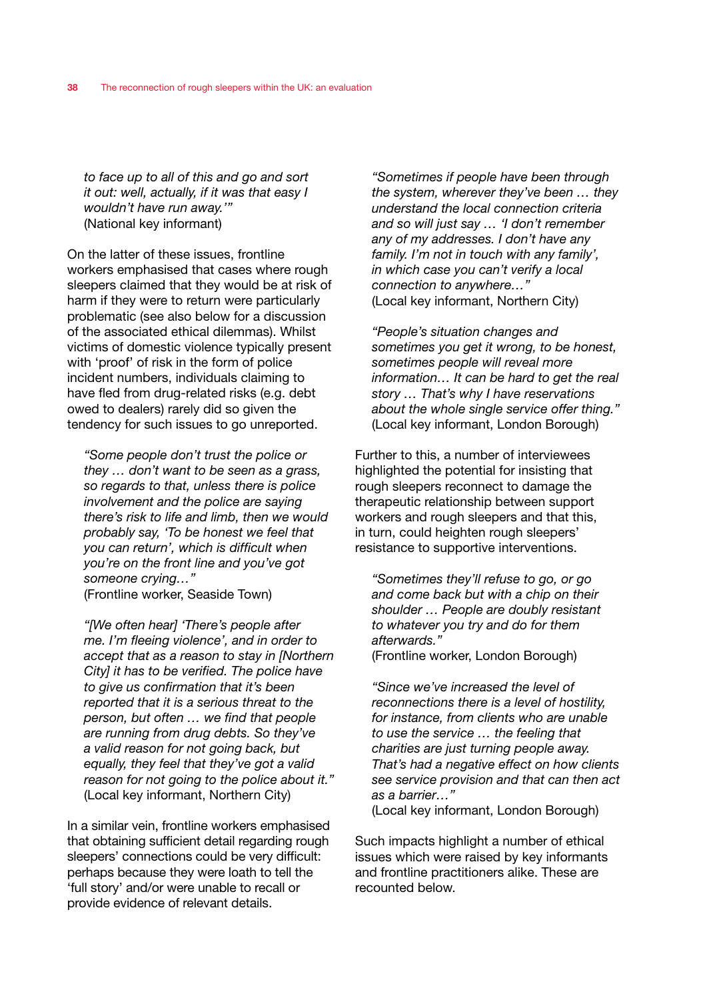*to face up to all of this and go and sort it out: well, actually, if it was that easy I wouldn't have run away.'"* (National key informant)

On the latter of these issues, frontline workers emphasised that cases where rough sleepers claimed that they would be at risk of harm if they were to return were particularly problematic (see also below for a discussion of the associated ethical dilemmas). Whilst victims of domestic violence typically present with 'proof' of risk in the form of police incident numbers, individuals claiming to have fled from drug-related risks (e.g. debt owed to dealers) rarely did so given the tendency for such issues to go unreported.

*"Some people don't trust the police or they … don't want to be seen as a grass, so regards to that, unless there is police involvement and the police are saying there's risk to life and limb, then we would probably say, 'To be honest we feel that you can return', which is difficult when you're on the front line and you've got someone crying…"*  (Frontline worker, Seaside Town)

*"[We often hear] 'There's people after me. I'm fleeing violence', and in order to accept that as a reason to stay in [Northern City] it has to be verified. The police have to give us confirmation that it's been reported that it is a serious threat to the person, but often … we find that people are running from drug debts. So they've a valid reason for not going back, but equally, they feel that they've got a valid reason for not going to the police about it."*  (Local key informant, Northern City)

In a similar vein, frontline workers emphasised that obtaining sufficient detail regarding rough sleepers' connections could be very difficult: perhaps because they were loath to tell the 'full story' and/or were unable to recall or provide evidence of relevant details.

*"Sometimes if people have been through the system, wherever they've been … they understand the local connection criteria and so will just say … 'I don't remember any of my addresses. I don't have any family. I'm not in touch with any family', in which case you can't verify a local connection to anywhere…"*  (Local key informant, Northern City)

*"People's situation changes and sometimes you get it wrong, to be honest, sometimes people will reveal more information… It can be hard to get the real story … That's why I have reservations about the whole single service offer thing."*  (Local key informant, London Borough)

Further to this, a number of interviewees highlighted the potential for insisting that rough sleepers reconnect to damage the therapeutic relationship between support workers and rough sleepers and that this, in turn, could heighten rough sleepers' resistance to supportive interventions.

*"Sometimes they'll refuse to go, or go and come back but with a chip on their shoulder … People are doubly resistant to whatever you try and do for them afterwards."* 

(Frontline worker, London Borough)

*"Since we've increased the level of reconnections there is a level of hostility, for instance, from clients who are unable to use the service … the feeling that charities are just turning people away. That's had a negative effect on how clients see service provision and that can then act as a barrier…"* 

(Local key informant, London Borough)

Such impacts highlight a number of ethical issues which were raised by key informants and frontline practitioners alike. These are recounted below.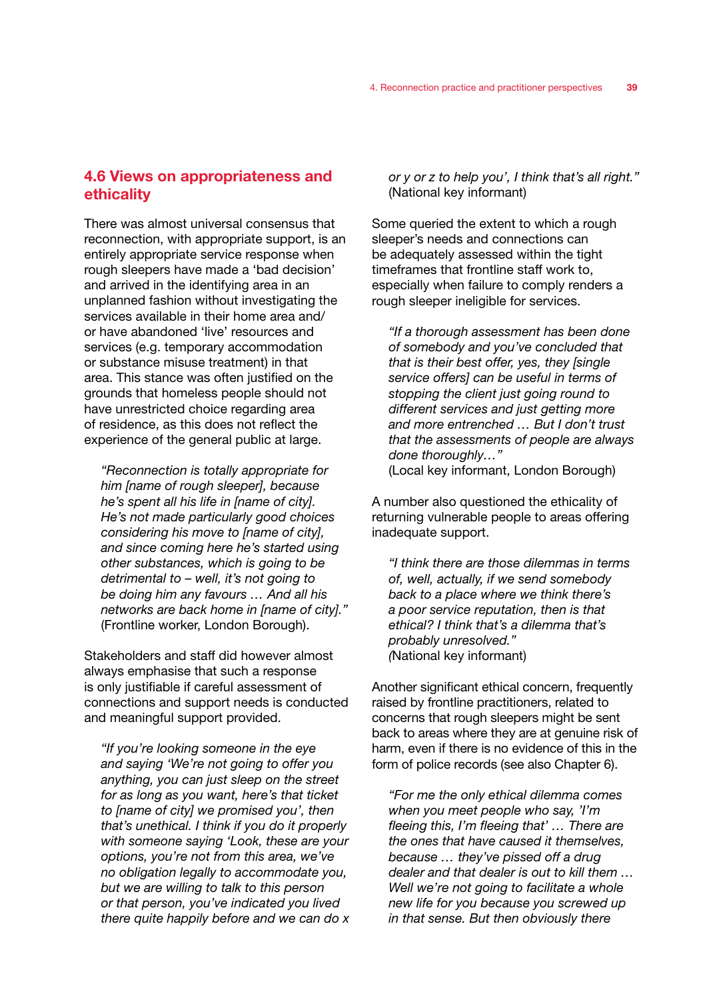# 4.6 Views on appropriateness and ethicality

There was almost universal consensus that reconnection, with appropriate support, is an entirely appropriate service response when rough sleepers have made a 'bad decision' and arrived in the identifying area in an unplanned fashion without investigating the services available in their home area and/ or have abandoned 'live' resources and services (e.g. temporary accommodation or substance misuse treatment) in that area. This stance was often justified on the grounds that homeless people should not have unrestricted choice regarding area of residence, as this does not reflect the experience of the general public at large.

*"Reconnection is totally appropriate for him [name of rough sleeper], because he's spent all his life in [name of city]. He's not made particularly good choices considering his move to [name of city], and since coming here he's started using other substances, which is going to be detrimental to – well, it's not going to be doing him any favours … And all his networks are back home in [name of city]."*  (Frontline worker, London Borough).

Stakeholders and staff did however almost always emphasise that such a response is only justifiable if careful assessment of connections and support needs is conducted and meaningful support provided.

*"If you're looking someone in the eye and saying 'We're not going to offer you anything, you can just sleep on the street for as long as you want, here's that ticket to [name of city] we promised you', then that's unethical. I think if you do it properly with someone saying 'Look, these are your options, you're not from this area, we've no obligation legally to accommodate you, but we are willing to talk to this person or that person, you've indicated you lived there quite happily before and we can do x*  *or y or z to help you', I think that's all right."*  (National key informant)

Some queried the extent to which a rough sleeper's needs and connections can be adequately assessed within the tight timeframes that frontline staff work to, especially when failure to comply renders a rough sleeper ineligible for services.

*"If a thorough assessment has been done of somebody and you've concluded that that is their best offer, yes, they [single service offers] can be useful in terms of stopping the client just going round to different services and just getting more and more entrenched … But I don't trust that the assessments of people are always done thoroughly…"*  (Local key informant, London Borough)

A number also questioned the ethicality of returning vulnerable people to areas offering inadequate support.

*"I think there are those dilemmas in terms of, well, actually, if we send somebody back to a place where we think there's a poor service reputation, then is that ethical? I think that's a dilemma that's probably unresolved." (*National key informant)

Another significant ethical concern, frequently raised by frontline practitioners, related to concerns that rough sleepers might be sent back to areas where they are at genuine risk of harm, even if there is no evidence of this in the form of police records (see also Chapter 6).

*"For me the only ethical dilemma comes when you meet people who say, 'I'm fleeing this, I'm fleeing that' … There are the ones that have caused it themselves, because … they've pissed off a drug dealer and that dealer is out to kill them … Well we're not going to facilitate a whole new life for you because you screwed up in that sense. But then obviously there*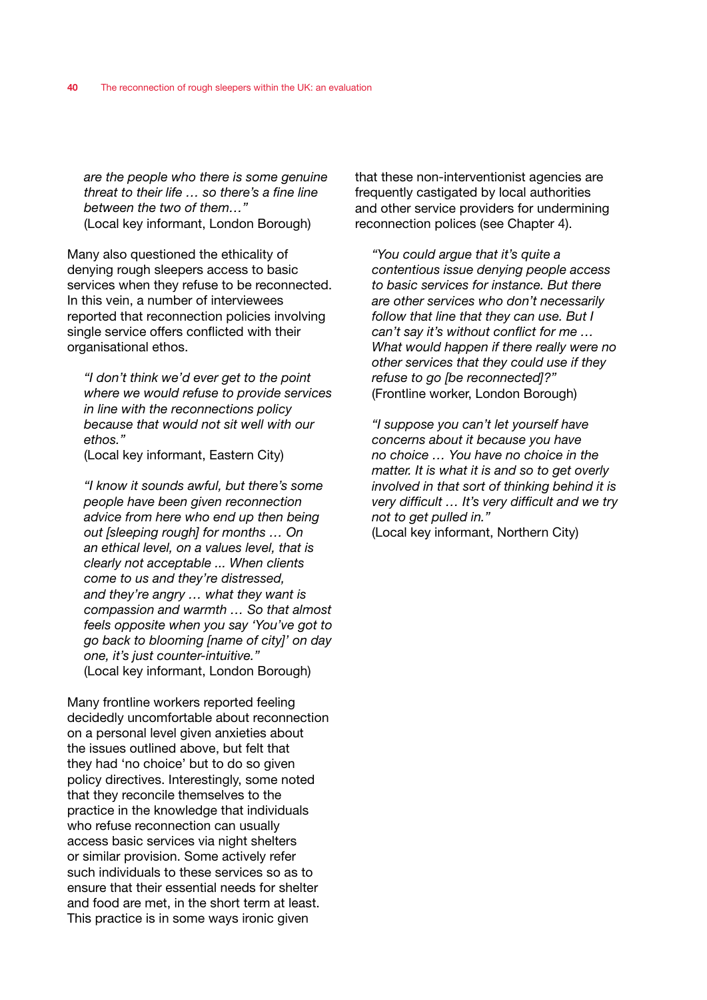*are the people who there is some genuine threat to their life … so there's a fine line between the two of them…"*  (Local key informant, London Borough)

Many also questioned the ethicality of denying rough sleepers access to basic services when they refuse to be reconnected. In this vein, a number of interviewees reported that reconnection policies involving single service offers conflicted with their organisational ethos.

*"I don't think we'd ever get to the point where we would refuse to provide services in line with the reconnections policy because that would not sit well with our ethos."* 

(Local key informant, Eastern City)

*"I know it sounds awful, but there's some people have been given reconnection advice from here who end up then being out [sleeping rough] for months … On an ethical level, on a values level, that is clearly not acceptable ... When clients come to us and they're distressed, and they're angry … what they want is compassion and warmth … So that almost feels opposite when you say 'You've got to go back to blooming [name of city]' on day one, it's just counter-intuitive."*  (Local key informant, London Borough)

Many frontline workers reported feeling decidedly uncomfortable about reconnection on a personal level given anxieties about the issues outlined above, but felt that they had 'no choice' but to do so given policy directives. Interestingly, some noted that they reconcile themselves to the practice in the knowledge that individuals who refuse reconnection can usually access basic services via night shelters or similar provision. Some actively refer such individuals to these services so as to ensure that their essential needs for shelter and food are met, in the short term at least. This practice is in some ways ironic given

that these non-interventionist agencies are frequently castigated by local authorities and other service providers for undermining reconnection polices (see Chapter 4).

*"You could argue that it's quite a contentious issue denying people access to basic services for instance. But there are other services who don't necessarily follow that line that they can use. But I can't say it's without conflict for me … What would happen if there really were no other services that they could use if they refuse to go [be reconnected]?"*  (Frontline worker, London Borough)

*"I suppose you can't let yourself have concerns about it because you have no choice … You have no choice in the matter. It is what it is and so to get overly involved in that sort of thinking behind it is very difficult … It's very difficult and we try not to get pulled in."*  (Local key informant, Northern City)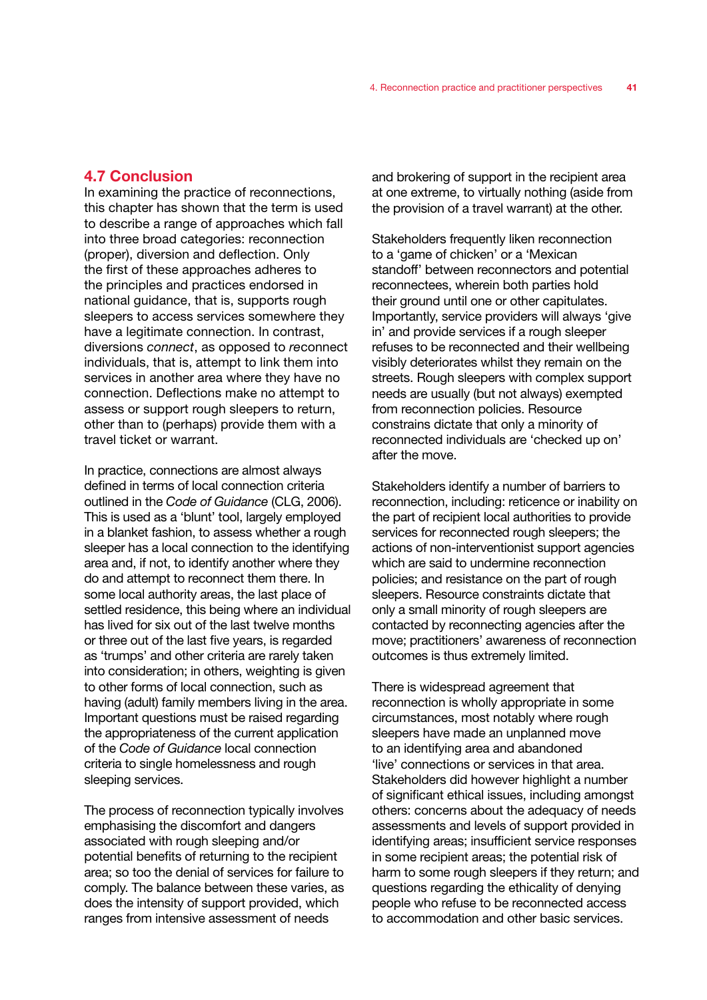# 4.7 Conclusion

In examining the practice of reconnections, this chapter has shown that the term is used to describe a range of approaches which fall into three broad categories: reconnection (proper), diversion and deflection. Only the first of these approaches adheres to the principles and practices endorsed in national guidance, that is, supports rough sleepers to access services somewhere they have a legitimate connection. In contrast, diversions *connect*, as opposed to *re*connect individuals, that is, attempt to link them into services in another area where they have no connection. Deflections make no attempt to assess or support rough sleepers to return, other than to (perhaps) provide them with a travel ticket or warrant.

In practice, connections are almost always defined in terms of local connection criteria outlined in the *Code of Guidance* (CLG, 2006). This is used as a 'blunt' tool, largely employed in a blanket fashion, to assess whether a rough sleeper has a local connection to the identifying area and, if not, to identify another where they do and attempt to reconnect them there. In some local authority areas, the last place of settled residence, this being where an individual has lived for six out of the last twelve months or three out of the last five years, is regarded as 'trumps' and other criteria are rarely taken into consideration; in others, weighting is given to other forms of local connection, such as having (adult) family members living in the area. Important questions must be raised regarding the appropriateness of the current application of the *Code of Guidance* local connection criteria to single homelessness and rough sleeping services.

The process of reconnection typically involves emphasising the discomfort and dangers associated with rough sleeping and/or potential benefits of returning to the recipient area; so too the denial of services for failure to comply. The balance between these varies, as does the intensity of support provided, which ranges from intensive assessment of needs

and brokering of support in the recipient area at one extreme, to virtually nothing (aside from the provision of a travel warrant) at the other.

Stakeholders frequently liken reconnection to a 'game of chicken' or a 'Mexican standoff' between reconnectors and potential reconnectees, wherein both parties hold their ground until one or other capitulates. Importantly, service providers will always 'give in' and provide services if a rough sleeper refuses to be reconnected and their wellbeing visibly deteriorates whilst they remain on the streets. Rough sleepers with complex support needs are usually (but not always) exempted from reconnection policies. Resource constrains dictate that only a minority of reconnected individuals are 'checked up on' after the move.

Stakeholders identify a number of barriers to reconnection, including: reticence or inability on the part of recipient local authorities to provide services for reconnected rough sleepers; the actions of non-interventionist support agencies which are said to undermine reconnection policies; and resistance on the part of rough sleepers. Resource constraints dictate that only a small minority of rough sleepers are contacted by reconnecting agencies after the move; practitioners' awareness of reconnection outcomes is thus extremely limited.

There is widespread agreement that reconnection is wholly appropriate in some circumstances, most notably where rough sleepers have made an unplanned move to an identifying area and abandoned 'live' connections or services in that area. Stakeholders did however highlight a number of significant ethical issues, including amongst others: concerns about the adequacy of needs assessments and levels of support provided in identifying areas; insufficient service responses in some recipient areas; the potential risk of harm to some rough sleepers if they return; and questions regarding the ethicality of denying people who refuse to be reconnected access to accommodation and other basic services.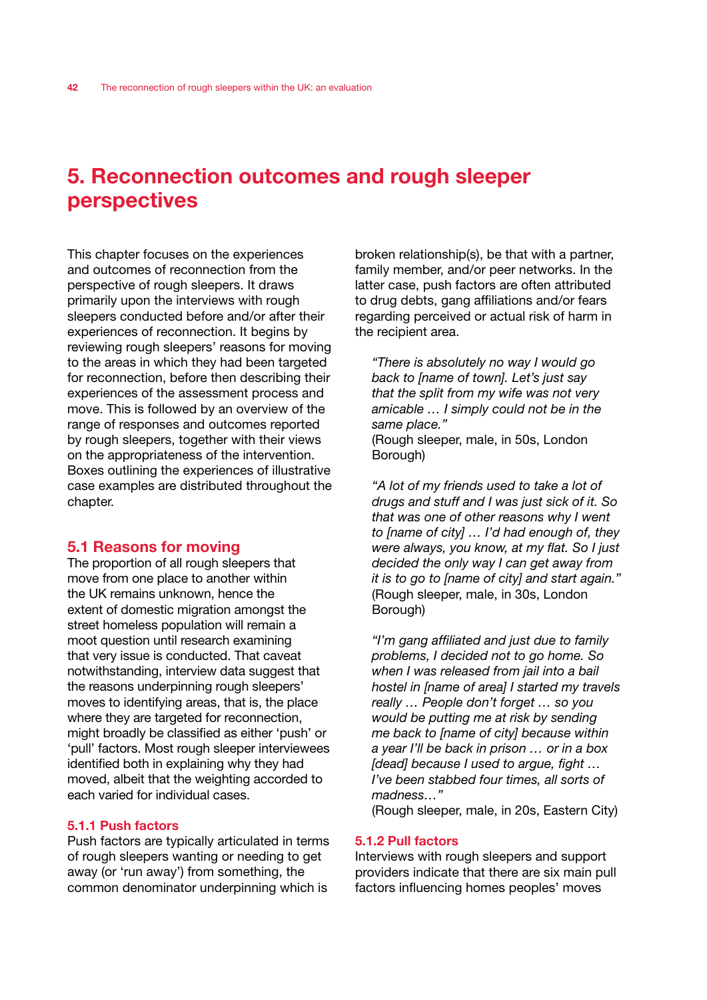# 5. Reconnection outcomes and rough sleeper perspectives

This chapter focuses on the experiences and outcomes of reconnection from the perspective of rough sleepers. It draws primarily upon the interviews with rough sleepers conducted before and/or after their experiences of reconnection. It begins by reviewing rough sleepers' reasons for moving to the areas in which they had been targeted for reconnection, before then describing their experiences of the assessment process and move. This is followed by an overview of the range of responses and outcomes reported by rough sleepers, together with their views on the appropriateness of the intervention. Boxes outlining the experiences of illustrative case examples are distributed throughout the chapter.

# 5.1 Reasons for moving

The proportion of all rough sleepers that move from one place to another within the UK remains unknown, hence the extent of domestic migration amongst the street homeless population will remain a moot question until research examining that very issue is conducted. That caveat notwithstanding, interview data suggest that the reasons underpinning rough sleepers' moves to identifying areas, that is, the place where they are targeted for reconnection, might broadly be classified as either 'push' or 'pull' factors. Most rough sleeper interviewees identified both in explaining why they had moved, albeit that the weighting accorded to each varied for individual cases.

# 5.1.1 Push factors

Push factors are typically articulated in terms of rough sleepers wanting or needing to get away (or 'run away') from something, the common denominator underpinning which is

broken relationship(s), be that with a partner, family member, and/or peer networks. In the latter case, push factors are often attributed to drug debts, gang affiliations and/or fears regarding perceived or actual risk of harm in the recipient area.

*"There is absolutely no way I would go back to [name of town]. Let's just say that the split from my wife was not very amicable … I simply could not be in the same place."*  (Rough sleeper, male, in 50s, London Borough)

*"A lot of my friends used to take a lot of drugs and stuff and I was just sick of it. So that was one of other reasons why I went to [name of city] … I'd had enough of, they were always, you know, at my flat. So I just decided the only way I can get away from it is to go to [name of city] and start again."*  (Rough sleeper, male, in 30s, London Borough)

*"I'm gang affiliated and just due to family problems, I decided not to go home. So when I was released from jail into a bail hostel in [name of area] I started my travels really … People don't forget … so you would be putting me at risk by sending me back to [name of city] because within a year I'll be back in prison … or in a box [dead] because I used to argue, fight … I've been stabbed four times, all sorts of madness…"* 

(Rough sleeper, male, in 20s, Eastern City)

### 5.1.2 Pull factors

Interviews with rough sleepers and support providers indicate that there are six main pull factors influencing homes peoples' moves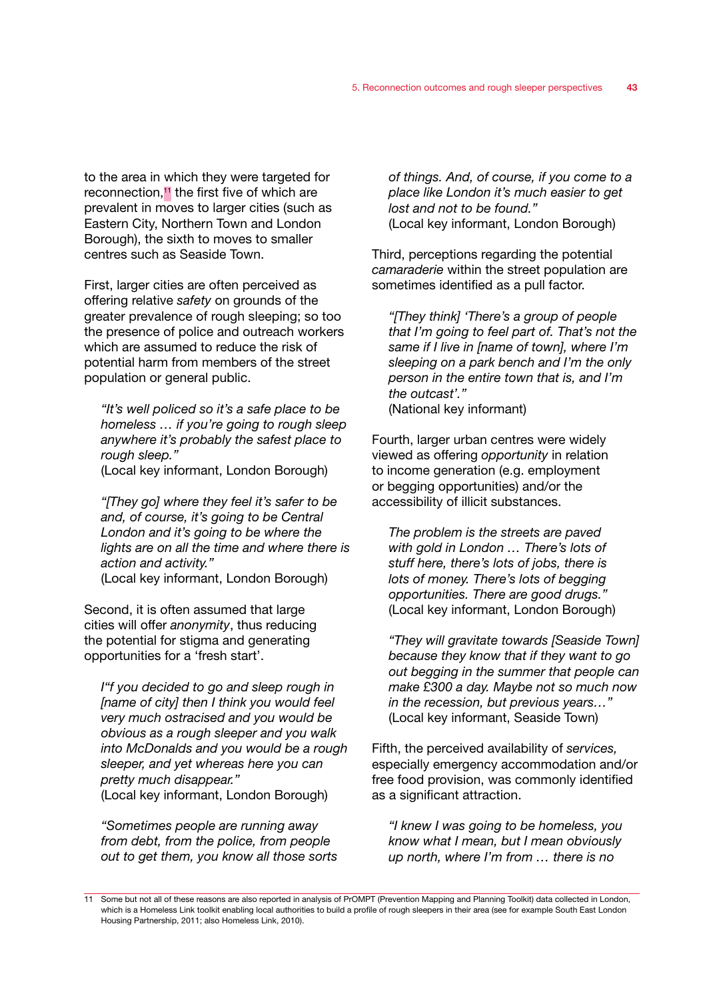to the area in which they were targeted for reconnection.<sup>11</sup> the first five of which are prevalent in moves to larger cities (such as Eastern City, Northern Town and London Borough), the sixth to moves to smaller centres such as Seaside Town.

First, larger cities are often perceived as offering relative *safety* on grounds of the greater prevalence of rough sleeping; so too the presence of police and outreach workers which are assumed to reduce the risk of potential harm from members of the street population or general public.

*"It's well policed so it's a safe place to be homeless … if you're going to rough sleep anywhere it's probably the safest place to rough sleep."* 

(Local key informant, London Borough)

*"[They go] where they feel it's safer to be and, of course, it's going to be Central London and it's going to be where the lights are on all the time and where there is action and activity."*  (Local key informant, London Borough)

Second, it is often assumed that large cities will offer *anonymity*, thus reducing the potential for stigma and generating opportunities for a 'fresh start'.

*I"f you decided to go and sleep rough in [name of city] then I think you would feel very much ostracised and you would be obvious as a rough sleeper and you walk into McDonalds and you would be a rough sleeper, and yet whereas here you can pretty much disappear."*  (Local key informant, London Borough)

*"Sometimes people are running away from debt, from the police, from people out to get them, you know all those sorts* 

*of things. And, of course, if you come to a place like London it's much easier to get lost and not to be found."*  (Local key informant, London Borough)

Third, perceptions regarding the potential *camaraderie* within the street population are sometimes identified as a pull factor.

*"[They think] 'There's a group of people that I'm going to feel part of. That's not the same if I live in [name of town], where I'm sleeping on a park bench and I'm the only person in the entire town that is, and I'm the outcast'."*  (National key informant)

Fourth, larger urban centres were widely viewed as offering *opportunity* in relation to income generation (e.g. employment or begging opportunities) and/or the accessibility of illicit substances.

*The problem is the streets are paved with gold in London … There's lots of stuff here, there's lots of jobs, there is lots of money. There's lots of begging opportunities. There are good drugs."*  (Local key informant, London Borough)

*"They will gravitate towards [Seaside Town] because they know that if they want to go out begging in the summer that people can make £300 a day. Maybe not so much now in the recession, but previous years…"*  (Local key informant, Seaside Town)

Fifth, the perceived availability of *services,*  especially emergency accommodation and/or free food provision, was commonly identified as a significant attraction.

*"I knew I was going to be homeless, you know what I mean, but I mean obviously up north, where I'm from … there is no* 

<sup>11</sup> Some but not all of these reasons are also reported in analysis of PrOMPT (Prevention Mapping and Planning Toolkit) data collected in London, which is a Homeless Link toolkit enabling local authorities to build a profile of rough sleepers in their area (see for example South East London Housing Partnership, 2011; also Homeless Link, 2010).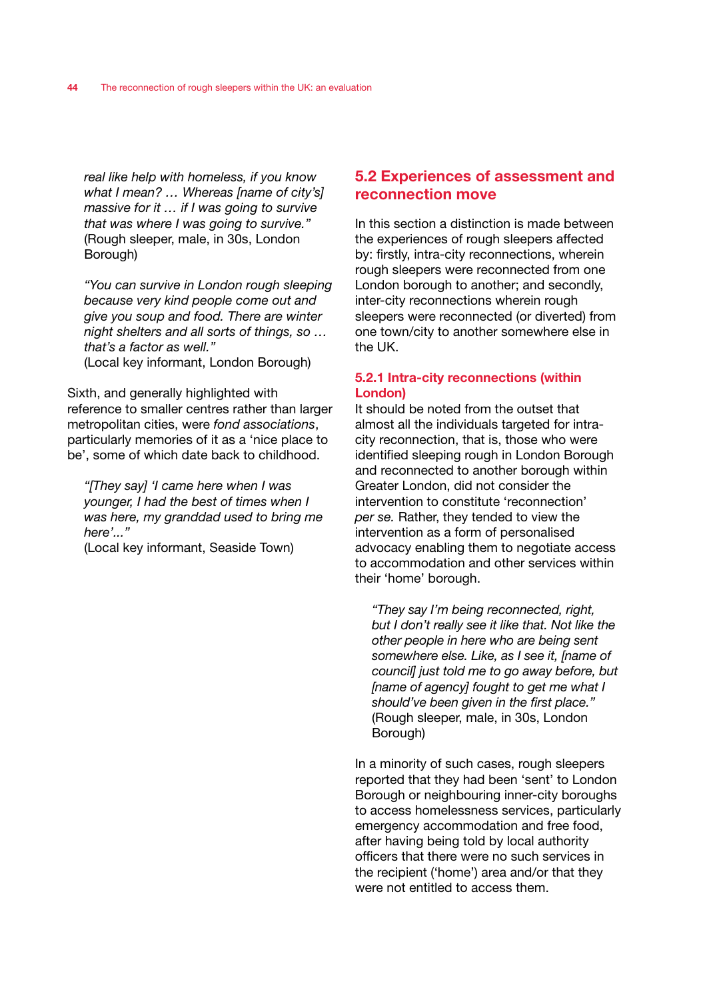*real like help with homeless, if you know what I mean? … Whereas [name of city's] massive for it … if I was going to survive that was where I was going to survive."*  (Rough sleeper, male, in 30s, London Borough)

*"You can survive in London rough sleeping because very kind people come out and give you soup and food. There are winter night shelters and all sorts of things, so … that's a factor as well."*  (Local key informant, London Borough)

Sixth, and generally highlighted with reference to smaller centres rather than larger metropolitan cities, were *fond associations*, particularly memories of it as a 'nice place to be', some of which date back to childhood.

*"[They say] 'I came here when I was younger, I had the best of times when I was here, my granddad used to bring me here'..."* 

(Local key informant, Seaside Town)

# 5.2 Experiences of assessment and reconnection move

In this section a distinction is made between the experiences of rough sleepers affected by: firstly, intra-city reconnections, wherein rough sleepers were reconnected from one London borough to another; and secondly, inter-city reconnections wherein rough sleepers were reconnected (or diverted) from one town/city to another somewhere else in the UK.

# 5.2.1 Intra-city reconnections (within London)

It should be noted from the outset that almost all the individuals targeted for intracity reconnection, that is, those who were identified sleeping rough in London Borough and reconnected to another borough within Greater London, did not consider the intervention to constitute 'reconnection' *per se.* Rather, they tended to view the intervention as a form of personalised advocacy enabling them to negotiate access to accommodation and other services within their 'home' borough.

*"They say I'm being reconnected, right, but I don't really see it like that. Not like the other people in here who are being sent somewhere else. Like, as I see it, [name of council] just told me to go away before, but [name of agency] fought to get me what I should've been given in the first place."*  (Rough sleeper, male, in 30s, London Borough)

In a minority of such cases, rough sleepers reported that they had been 'sent' to London Borough or neighbouring inner-city boroughs to access homelessness services, particularly emergency accommodation and free food, after having being told by local authority officers that there were no such services in the recipient ('home') area and/or that they were not entitled to access them.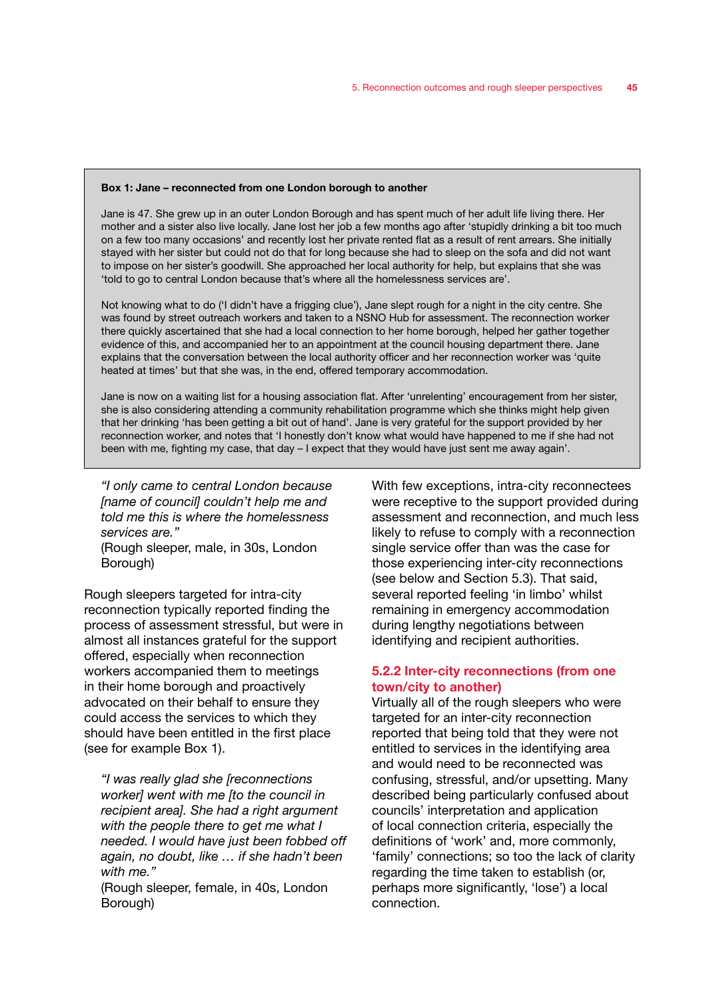#### Box 1: Jane – reconnected from one London borough to another

Jane is 47. She grew up in an outer London Borough and has spent much of her adult life living there. Her mother and a sister also live locally. Jane lost her job a few months ago after 'stupidly drinking a bit too much on a few too many occasions' and recently lost her private rented flat as a result of rent arrears. She initially stayed with her sister but could not do that for long because she had to sleep on the sofa and did not want to impose on her sister's goodwill. She approached her local authority for help, but explains that she was 'told to go to central London because that's where all the homelessness services are'.

Not knowing what to do ('I didn't have a frigging clue'), Jane slept rough for a night in the city centre. She was found by street outreach workers and taken to a NSNO Hub for assessment. The reconnection worker there quickly ascertained that she had a local connection to her home borough, helped her gather together evidence of this, and accompanied her to an appointment at the council housing department there. Jane explains that the conversation between the local authority officer and her reconnection worker was 'quite heated at times' but that she was, in the end, offered temporary accommodation.

Jane is now on a waiting list for a housing association flat. After 'unrelenting' encouragement from her sister, she is also considering attending a community rehabilitation programme which she thinks might help given that her drinking 'has been getting a bit out of hand'. Jane is very grateful for the support provided by her reconnection worker, and notes that 'I honestly don't know what would have happened to me if she had not been with me, fighting my case, that day – I expect that they would have just sent me away again'.

*"I only came to central London because [name of council] couldn't help me and told me this is where the homelessness services are."* 

(Rough sleeper, male, in 30s, London Borough)

Rough sleepers targeted for intra-city reconnection typically reported finding the process of assessment stressful, but were in almost all instances grateful for the support offered, especially when reconnection workers accompanied them to meetings in their home borough and proactively advocated on their behalf to ensure they could access the services to which they should have been entitled in the first place (see for example Box 1).

*"I was really glad she [reconnections worker] went with me [to the council in recipient area]. She had a right argument with the people there to get me what I needed. I would have just been fobbed off again, no doubt, like … if she hadn't been with me."* 

(Rough sleeper, female, in 40s, London Borough)

With few exceptions, intra-city reconnectees were receptive to the support provided during assessment and reconnection, and much less likely to refuse to comply with a reconnection single service offer than was the case for those experiencing inter-city reconnections (see below and Section 5.3). That said, several reported feeling 'in limbo' whilst remaining in emergency accommodation during lengthy negotiations between identifying and recipient authorities.

# 5.2.2 Inter-city reconnections (from one town/city to another)

Virtually all of the rough sleepers who were targeted for an inter-city reconnection reported that being told that they were not entitled to services in the identifying area and would need to be reconnected was confusing, stressful, and/or upsetting. Many described being particularly confused about councils' interpretation and application of local connection criteria, especially the definitions of 'work' and, more commonly, 'family' connections; so too the lack of clarity regarding the time taken to establish (or, perhaps more significantly, 'lose') a local connection.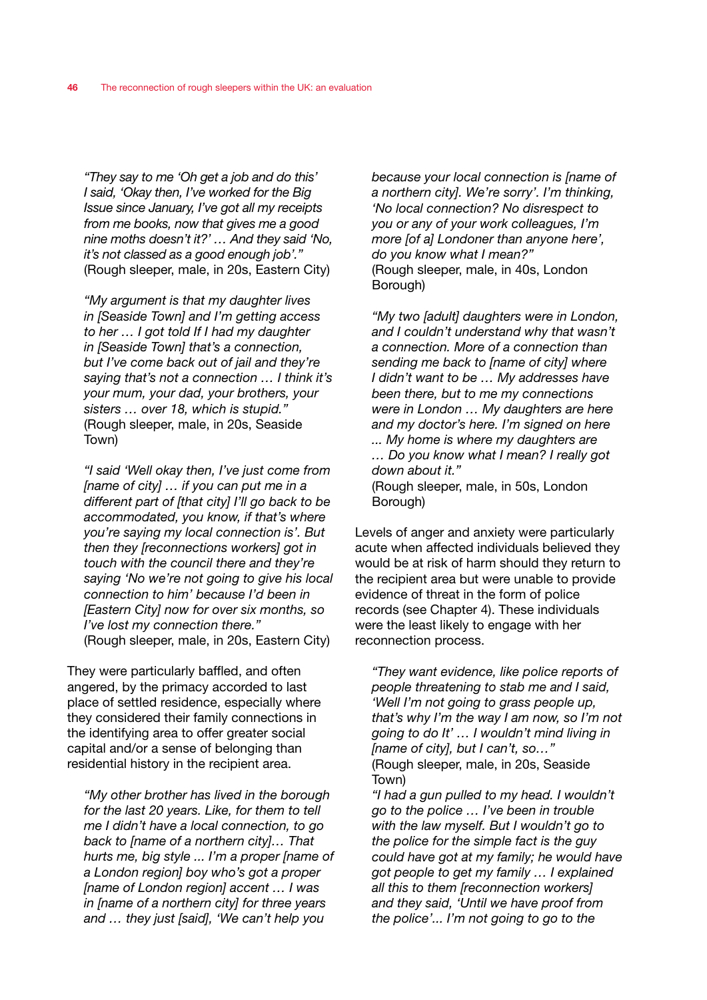*"They say to me 'Oh get a job and do this' I said, 'Okay then, I've worked for the Big Issue since January, I've got all my receipts from me books, now that gives me a good nine moths doesn't it?' … And they said 'No, it's not classed as a good enough job'."* (Rough sleeper, male, in 20s, Eastern City)

*"My argument is that my daughter lives in [Seaside Town] and I'm getting access to her … I got told If I had my daughter in [Seaside Town] that's a connection, but I've come back out of jail and they're saying that's not a connection … I think it's your mum, your dad, your brothers, your sisters … over 18, which is stupid."*  (Rough sleeper, male, in 20s, Seaside Town)

*"I said 'Well okay then, I've just come from [name of city] … if you can put me in a different part of [that city] I'll go back to be accommodated, you know, if that's where you're saying my local connection is'. But then they [reconnections workers] got in touch with the council there and they're saying 'No we're not going to give his local connection to him' because I'd been in [Eastern City] now for over six months, so I've lost my connection there."*  (Rough sleeper, male, in 20s, Eastern City)

They were particularly baffled, and often angered, by the primacy accorded to last place of settled residence, especially where they considered their family connections in the identifying area to offer greater social capital and/or a sense of belonging than residential history in the recipient area.

*"My other brother has lived in the borough for the last 20 years. Like, for them to tell me I didn't have a local connection, to go back to [name of a northern city]… That hurts me, big style ... I'm a proper [name of a London region] boy who's got a proper [name of London region] accent … I was in [name of a northern city] for three years and … they just [said], 'We can't help you* 

*because your local connection is [name of a northern city]. We're sorry'. I'm thinking, 'No local connection? No disrespect to you or any of your work colleagues, I'm more [of a] Londoner than anyone here', do you know what I mean?"*  (Rough sleeper, male, in 40s, London Borough)

*"My two [adult] daughters were in London, and I couldn't understand why that wasn't a connection. More of a connection than sending me back to [name of city] where I didn't want to be … My addresses have been there, but to me my connections were in London … My daughters are here and my doctor's here. I'm signed on here ... My home is where my daughters are … Do you know what I mean? I really got down about it."* 

(Rough sleeper, male, in 50s, London Borough)

Levels of anger and anxiety were particularly acute when affected individuals believed they would be at risk of harm should they return to the recipient area but were unable to provide evidence of threat in the form of police records (see Chapter 4). These individuals were the least likely to engage with her reconnection process.

*"They want evidence, like police reports of people threatening to stab me and I said, 'Well I'm not going to grass people up, that's why I'm the way I am now, so I'm not going to do It' … I wouldn't mind living in [name of city], but I can't, so…"*  (Rough sleeper, male, in 20s, Seaside Town)

*"I had a gun pulled to my head. I wouldn't go to the police … I've been in trouble with the law myself. But I wouldn't go to the police for the simple fact is the guy could have got at my family; he would have got people to get my family … I explained all this to them [reconnection workers] and they said, 'Until we have proof from the police'... I'm not going to go to the*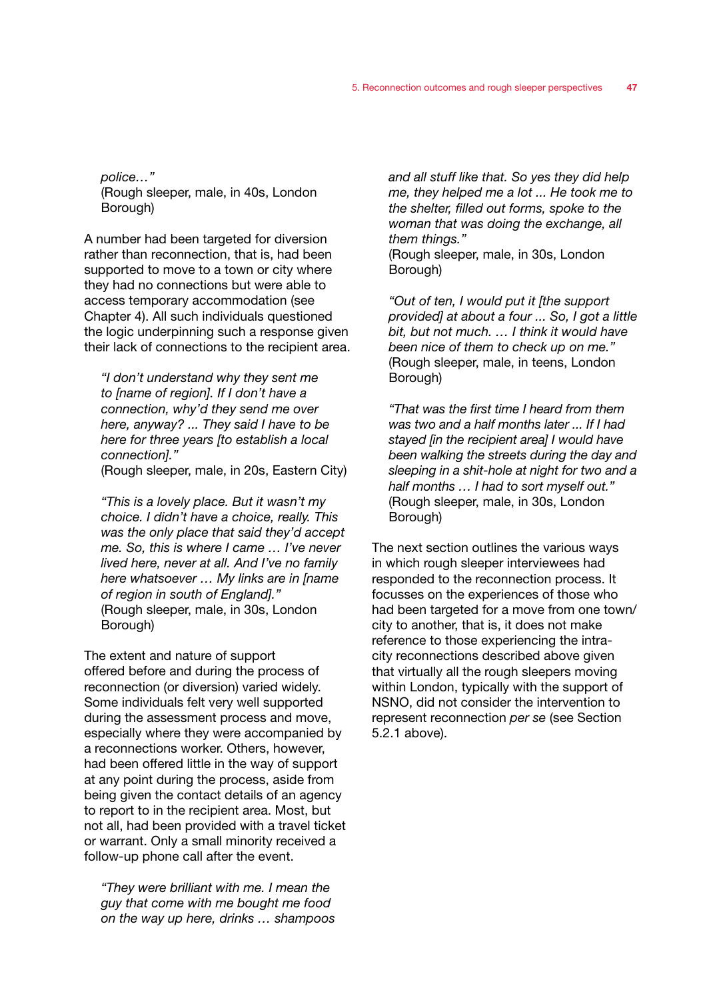*police…"*  (Rough sleeper, male, in 40s, London Borough)

A number had been targeted for diversion rather than reconnection, that is, had been supported to move to a town or city where they had no connections but were able to access temporary accommodation (see Chapter 4). All such individuals questioned the logic underpinning such a response given their lack of connections to the recipient area.

*"I don't understand why they sent me to [name of region]. If I don't have a connection, why'd they send me over here, anyway? ... They said I have to be here for three years [to establish a local connection]."* 

(Rough sleeper, male, in 20s, Eastern City)

*"This is a lovely place. But it wasn't my choice. I didn't have a choice, really. This was the only place that said they'd accept me. So, this is where I came … I've never lived here, never at all. And I've no family here whatsoever … My links are in [name of region in south of England]."*  (Rough sleeper, male, in 30s, London Borough)

The extent and nature of support offered before and during the process of reconnection (or diversion) varied widely. Some individuals felt very well supported during the assessment process and move, especially where they were accompanied by a reconnections worker. Others, however, had been offered little in the way of support at any point during the process, aside from being given the contact details of an agency to report to in the recipient area. Most, but not all, had been provided with a travel ticket or warrant. Only a small minority received a follow-up phone call after the event.

*"They were brilliant with me. I mean the guy that come with me bought me food on the way up here, drinks … shampoos*  *and all stuff like that. So yes they did help me, they helped me a lot ... He took me to the shelter, filled out forms, spoke to the woman that was doing the exchange, all them things."* 

(Rough sleeper, male, in 30s, London Borough)

*"Out of ten, I would put it [the support provided] at about a four ... So, I got a little bit, but not much. … I think it would have been nice of them to check up on me."*  (Rough sleeper, male, in teens, London Borough)

*"That was the first time I heard from them was two and a half months later ... If I had stayed [in the recipient area] I would have been walking the streets during the day and sleeping in a shit-hole at night for two and a half months … I had to sort myself out."*  (Rough sleeper, male, in 30s, London Borough)

The next section outlines the various ways in which rough sleeper interviewees had responded to the reconnection process. It focusses on the experiences of those who had been targeted for a move from one town/ city to another, that is, it does not make reference to those experiencing the intracity reconnections described above given that virtually all the rough sleepers moving within London, typically with the support of NSNO, did not consider the intervention to represent reconnection *per se* (see Section 5.2.1 above).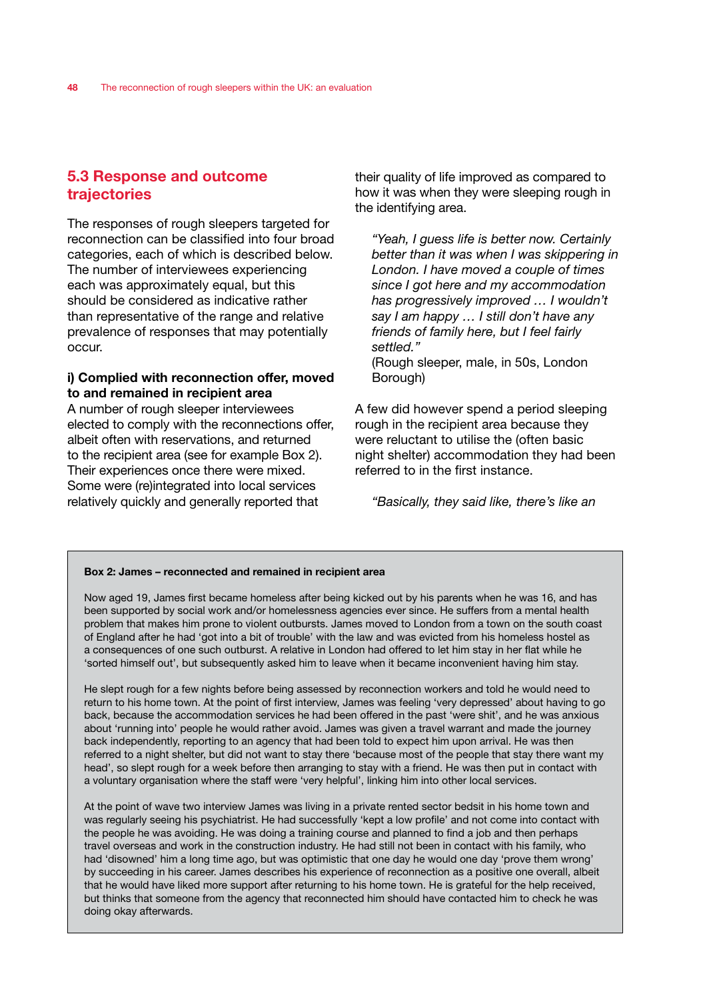# 5.3 Response and outcome trajectories

The responses of rough sleepers targeted for reconnection can be classified into four broad categories, each of which is described below. The number of interviewees experiencing each was approximately equal, but this should be considered as indicative rather than representative of the range and relative prevalence of responses that may potentially occur.

# i) Complied with reconnection offer, moved to and remained in recipient area

A number of rough sleeper interviewees elected to comply with the reconnections offer, albeit often with reservations, and returned to the recipient area (see for example Box 2). Their experiences once there were mixed. Some were (re)integrated into local services relatively quickly and generally reported that

their quality of life improved as compared to how it was when they were sleeping rough in the identifying area.

*"Yeah, I guess life is better now. Certainly better than it was when I was skippering in London. I have moved a couple of times since I got here and my accommodation has progressively improved … I wouldn't say I am happy … I still don't have any friends of family here, but I feel fairly settled."* 

(Rough sleeper, male, in 50s, London Borough)

A few did however spend a period sleeping rough in the recipient area because they were reluctant to utilise the (often basic night shelter) accommodation they had been referred to in the first instance.

*"Basically, they said like, there's like an* 

#### Box 2: James – reconnected and remained in recipient area

Now aged 19, James first became homeless after being kicked out by his parents when he was 16, and has been supported by social work and/or homelessness agencies ever since. He suffers from a mental health problem that makes him prone to violent outbursts. James moved to London from a town on the south coast of England after he had 'got into a bit of trouble' with the law and was evicted from his homeless hostel as a consequences of one such outburst. A relative in London had offered to let him stay in her flat while he 'sorted himself out', but subsequently asked him to leave when it became inconvenient having him stay.

He slept rough for a few nights before being assessed by reconnection workers and told he would need to return to his home town. At the point of first interview, James was feeling 'very depressed' about having to go back, because the accommodation services he had been offered in the past 'were shit', and he was anxious about 'running into' people he would rather avoid. James was given a travel warrant and made the journey back independently, reporting to an agency that had been told to expect him upon arrival. He was then referred to a night shelter, but did not want to stay there 'because most of the people that stay there want my head', so slept rough for a week before then arranging to stay with a friend. He was then put in contact with a voluntary organisation where the staff were 'very helpful', linking him into other local services.

At the point of wave two interview James was living in a private rented sector bedsit in his home town and was regularly seeing his psychiatrist. He had successfully 'kept a low profile' and not come into contact with the people he was avoiding. He was doing a training course and planned to find a job and then perhaps travel overseas and work in the construction industry. He had still not been in contact with his family, who had 'disowned' him a long time ago, but was optimistic that one day he would one day 'prove them wrong' by succeeding in his career. James describes his experience of reconnection as a positive one overall, albeit that he would have liked more support after returning to his home town. He is grateful for the help received, but thinks that someone from the agency that reconnected him should have contacted him to check he was doing okay afterwards.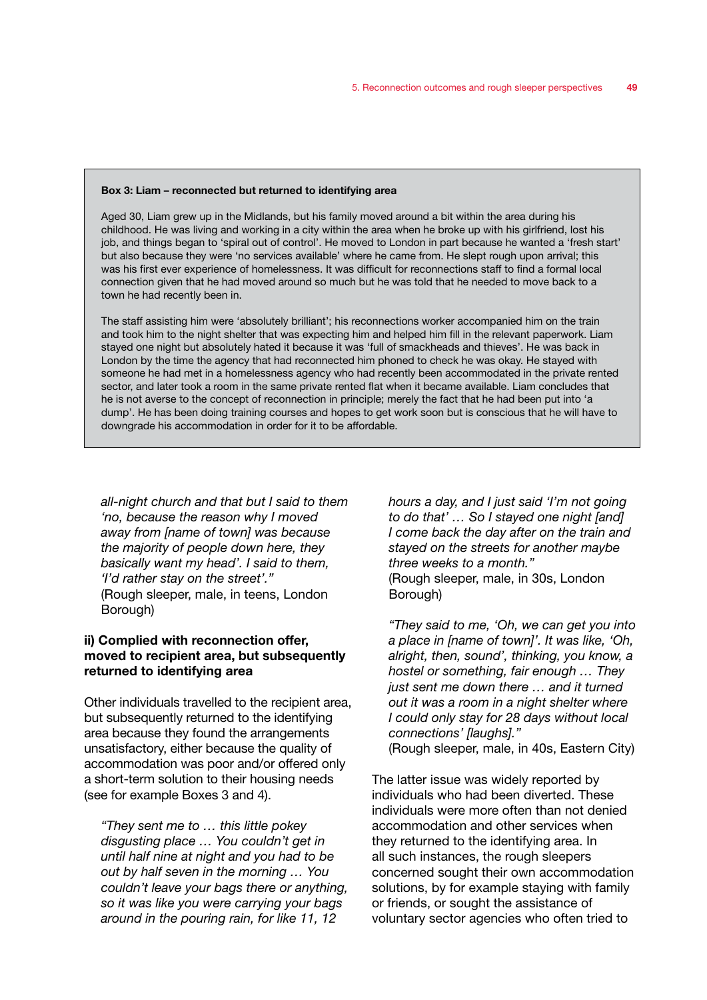#### Box 3: Liam – reconnected but returned to identifying area

Aged 30, Liam grew up in the Midlands, but his family moved around a bit within the area during his childhood. He was living and working in a city within the area when he broke up with his girlfriend, lost his job, and things began to 'spiral out of control'. He moved to London in part because he wanted a 'fresh start' but also because they were 'no services available' where he came from. He slept rough upon arrival; this was his first ever experience of homelessness. It was difficult for reconnections staff to find a formal local connection given that he had moved around so much but he was told that he needed to move back to a town he had recently been in.

The staff assisting him were 'absolutely brilliant'; his reconnections worker accompanied him on the train and took him to the night shelter that was expecting him and helped him fill in the relevant paperwork. Liam stayed one night but absolutely hated it because it was 'full of smackheads and thieves'. He was back in London by the time the agency that had reconnected him phoned to check he was okay. He stayed with someone he had met in a homelessness agency who had recently been accommodated in the private rented sector, and later took a room in the same private rented flat when it became available. Liam concludes that he is not averse to the concept of reconnection in principle; merely the fact that he had been put into 'a dump'. He has been doing training courses and hopes to get work soon but is conscious that he will have to downgrade his accommodation in order for it to be affordable.

*all-night church and that but I said to them 'no, because the reason why I moved away from [name of town] was because the majority of people down here, they basically want my head'. I said to them, 'I'd rather stay on the street'."*  (Rough sleeper, male, in teens, London Borough)

# ii) Complied with reconnection offer, moved to recipient area, but subsequently returned to identifying area

Other individuals travelled to the recipient area, but subsequently returned to the identifying area because they found the arrangements unsatisfactory, either because the quality of accommodation was poor and/or offered only a short-term solution to their housing needs (see for example Boxes 3 and 4).

*"They sent me to … this little pokey disgusting place … You couldn't get in until half nine at night and you had to be out by half seven in the morning … You couldn't leave your bags there or anything, so it was like you were carrying your bags around in the pouring rain, for like 11, 12* 

*hours a day, and I just said 'I'm not going to do that' … So I stayed one night [and] I come back the day after on the train and stayed on the streets for another maybe three weeks to a month."*  (Rough sleeper, male, in 30s, London Borough)

*"They said to me, 'Oh, we can get you into a place in [name of town]'. It was like, 'Oh, alright, then, sound', thinking, you know, a hostel or something, fair enough … They just sent me down there … and it turned out it was a room in a night shelter where I could only stay for 28 days without local connections' [laughs]."*  (Rough sleeper, male, in 40s, Eastern City)

The latter issue was widely reported by individuals who had been diverted. These individuals were more often than not denied accommodation and other services when they returned to the identifying area. In all such instances, the rough sleepers concerned sought their own accommodation solutions, by for example staying with family or friends, or sought the assistance of voluntary sector agencies who often tried to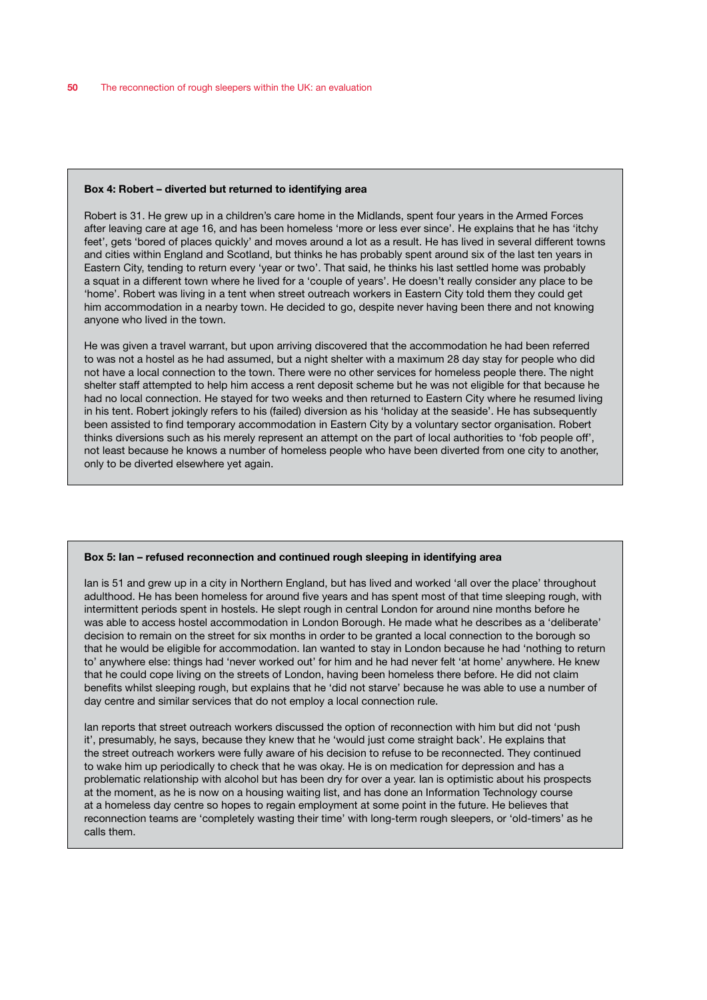#### Box 4: Robert – diverted but returned to identifying area

Robert is 31. He grew up in a children's care home in the Midlands, spent four years in the Armed Forces after leaving care at age 16, and has been homeless 'more or less ever since'. He explains that he has 'itchy feet', gets 'bored of places quickly' and moves around a lot as a result. He has lived in several different towns and cities within England and Scotland, but thinks he has probably spent around six of the last ten years in Eastern City, tending to return every 'year or two'. That said, he thinks his last settled home was probably a squat in a different town where he lived for a 'couple of years'. He doesn't really consider any place to be 'home'. Robert was living in a tent when street outreach workers in Eastern City told them they could get him accommodation in a nearby town. He decided to go, despite never having been there and not knowing anyone who lived in the town.

He was given a travel warrant, but upon arriving discovered that the accommodation he had been referred to was not a hostel as he had assumed, but a night shelter with a maximum 28 day stay for people who did not have a local connection to the town. There were no other services for homeless people there. The night shelter staff attempted to help him access a rent deposit scheme but he was not eligible for that because he had no local connection. He stayed for two weeks and then returned to Eastern City where he resumed living in his tent. Robert jokingly refers to his (failed) diversion as his 'holiday at the seaside'. He has subsequently been assisted to find temporary accommodation in Eastern City by a voluntary sector organisation. Robert thinks diversions such as his merely represent an attempt on the part of local authorities to 'fob people off', not least because he knows a number of homeless people who have been diverted from one city to another, only to be diverted elsewhere yet again.

#### Box 5: Ian – refused reconnection and continued rough sleeping in identifying area

Ian is 51 and grew up in a city in Northern England, but has lived and worked 'all over the place' throughout adulthood. He has been homeless for around five years and has spent most of that time sleeping rough, with intermittent periods spent in hostels. He slept rough in central London for around nine months before he was able to access hostel accommodation in London Borough. He made what he describes as a 'deliberate' decision to remain on the street for six months in order to be granted a local connection to the borough so that he would be eligible for accommodation. Ian wanted to stay in London because he had 'nothing to return to' anywhere else: things had 'never worked out' for him and he had never felt 'at home' anywhere. He knew that he could cope living on the streets of London, having been homeless there before. He did not claim benefits whilst sleeping rough, but explains that he 'did not starve' because he was able to use a number of day centre and similar services that do not employ a local connection rule.

Ian reports that street outreach workers discussed the option of reconnection with him but did not 'push it', presumably, he says, because they knew that he 'would just come straight back'. He explains that the street outreach workers were fully aware of his decision to refuse to be reconnected. They continued to wake him up periodically to check that he was okay. He is on medication for depression and has a problematic relationship with alcohol but has been dry for over a year. Ian is optimistic about his prospects at the moment, as he is now on a housing waiting list, and has done an Information Technology course at a homeless day centre so hopes to regain employment at some point in the future. He believes that reconnection teams are 'completely wasting their time' with long-term rough sleepers, or 'old-timers' as he calls them.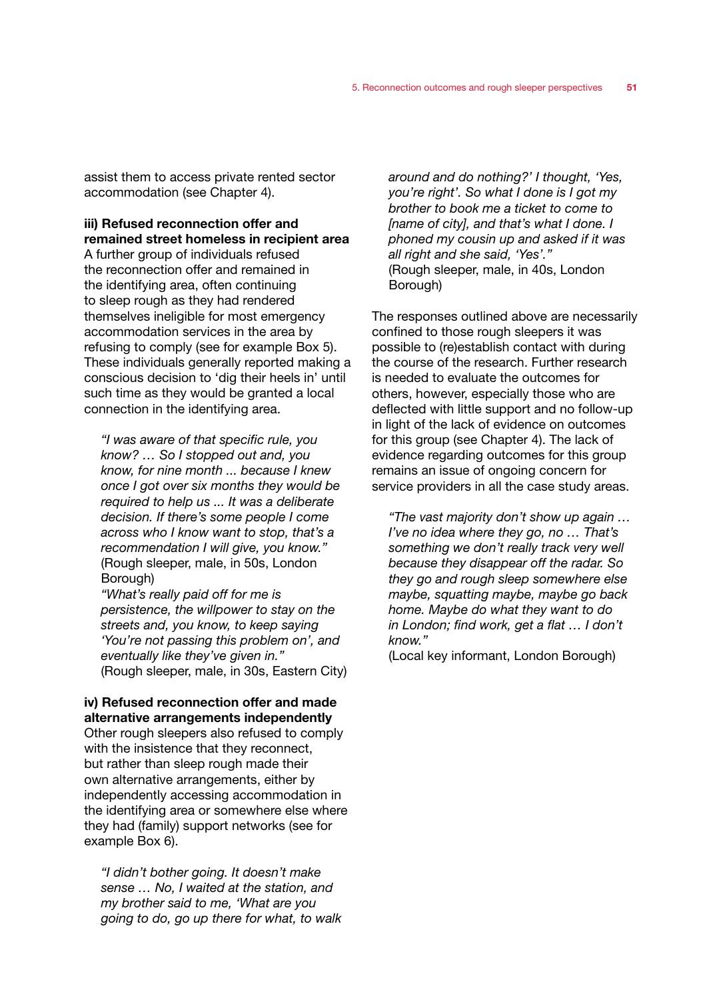assist them to access private rented sector accommodation (see Chapter 4).

# iii) Refused reconnection offer and remained street homeless in recipient area

A further group of individuals refused the reconnection offer and remained in the identifying area, often continuing to sleep rough as they had rendered themselves ineligible for most emergency accommodation services in the area by refusing to comply (see for example Box 5). These individuals generally reported making a conscious decision to 'dig their heels in' until such time as they would be granted a local connection in the identifying area.

*"I was aware of that specific rule, you know? … So I stopped out and, you know, for nine month ... because I knew once I got over six months they would be required to help us ... It was a deliberate decision. If there's some people I come across who I know want to stop, that's a recommendation I will give, you know."*  (Rough sleeper, male, in 50s, London Borough)

*"What's really paid off for me is persistence, the willpower to stay on the streets and, you know, to keep saying 'You're not passing this problem on', and eventually like they've given in."*  (Rough sleeper, male, in 30s, Eastern City)

### iv) Refused reconnection offer and made alternative arrangements independently

Other rough sleepers also refused to comply with the insistence that they reconnect, but rather than sleep rough made their own alternative arrangements, either by independently accessing accommodation in the identifying area or somewhere else where they had (family) support networks (see for example Box 6).

*"I didn't bother going. It doesn't make sense … No, I waited at the station, and my brother said to me, 'What are you going to do, go up there for what, to walk* 

*around and do nothing?' I thought, 'Yes, you're right'. So what I done is I got my brother to book me a ticket to come to [name of city], and that's what I done. I phoned my cousin up and asked if it was all right and she said, 'Yes'."*  (Rough sleeper, male, in 40s, London Borough)

The responses outlined above are necessarily confined to those rough sleepers it was possible to (re)establish contact with during the course of the research. Further research is needed to evaluate the outcomes for others, however, especially those who are deflected with little support and no follow-up in light of the lack of evidence on outcomes for this group (see Chapter 4). The lack of evidence regarding outcomes for this group remains an issue of ongoing concern for service providers in all the case study areas.

*"The vast majority don't show up again … I've no idea where they go, no … That's something we don't really track very well because they disappear off the radar. So they go and rough sleep somewhere else maybe, squatting maybe, maybe go back home. Maybe do what they want to do in London; find work, get a flat … I don't know."* 

(Local key informant, London Borough)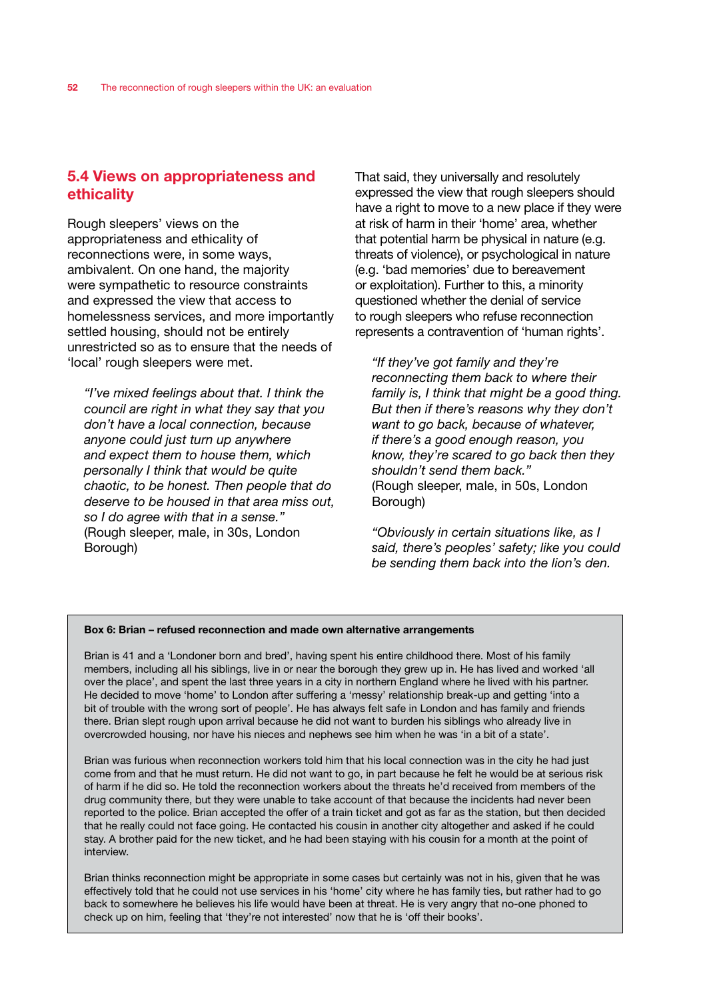# 5.4 Views on appropriateness and ethicality

Rough sleepers' views on the appropriateness and ethicality of reconnections were, in some ways, ambivalent. On one hand, the majority were sympathetic to resource constraints and expressed the view that access to homelessness services, and more importantly settled housing, should not be entirely unrestricted so as to ensure that the needs of 'local' rough sleepers were met.

*"I've mixed feelings about that. I think the council are right in what they say that you don't have a local connection, because anyone could just turn up anywhere and expect them to house them, which personally I think that would be quite chaotic, to be honest. Then people that do deserve to be housed in that area miss out, so I do agree with that in a sense."*  (Rough sleeper, male, in 30s, London Borough)

That said, they universally and resolutely expressed the view that rough sleepers should have a right to move to a new place if they were at risk of harm in their 'home' area, whether that potential harm be physical in nature (e.g. threats of violence), or psychological in nature (e.g. 'bad memories' due to bereavement or exploitation). Further to this, a minority questioned whether the denial of service to rough sleepers who refuse reconnection represents a contravention of 'human rights'.

*"If they've got family and they're reconnecting them back to where their family is, I think that might be a good thing. But then if there's reasons why they don't want to go back, because of whatever, if there's a good enough reason, you know, they're scared to go back then they shouldn't send them back."*  (Rough sleeper, male, in 50s, London Borough)

*"Obviously in certain situations like, as I said, there's peoples' safety; like you could be sending them back into the lion's den.* 

### Box 6: Brian – refused reconnection and made own alternative arrangements

Brian is 41 and a 'Londoner born and bred', having spent his entire childhood there. Most of his family members, including all his siblings, live in or near the borough they grew up in. He has lived and worked 'all over the place', and spent the last three years in a city in northern England where he lived with his partner. He decided to move 'home' to London after suffering a 'messy' relationship break-up and getting 'into a bit of trouble with the wrong sort of people'. He has always felt safe in London and has family and friends there. Brian slept rough upon arrival because he did not want to burden his siblings who already live in overcrowded housing, nor have his nieces and nephews see him when he was 'in a bit of a state'.

Brian was furious when reconnection workers told him that his local connection was in the city he had just come from and that he must return. He did not want to go, in part because he felt he would be at serious risk of harm if he did so. He told the reconnection workers about the threats he'd received from members of the drug community there, but they were unable to take account of that because the incidents had never been reported to the police. Brian accepted the offer of a train ticket and got as far as the station, but then decided that he really could not face going. He contacted his cousin in another city altogether and asked if he could stay. A brother paid for the new ticket, and he had been staying with his cousin for a month at the point of interview.

Brian thinks reconnection might be appropriate in some cases but certainly was not in his, given that he was effectively told that he could not use services in his 'home' city where he has family ties, but rather had to go back to somewhere he believes his life would have been at threat. He is very angry that no-one phoned to check up on him, feeling that 'they're not interested' now that he is 'off their books'.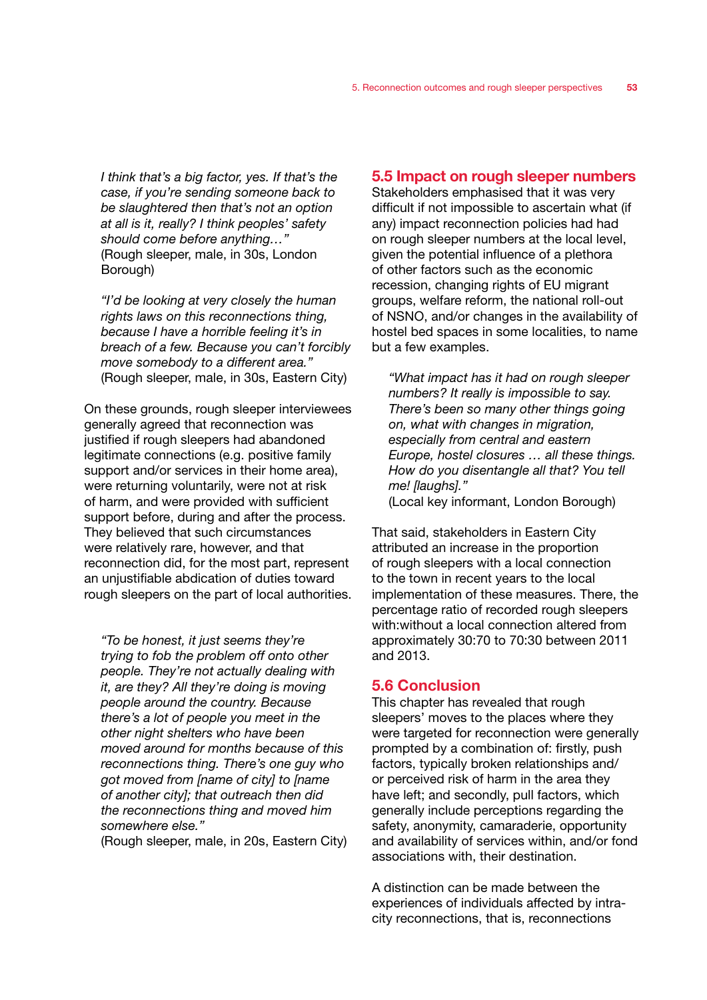*I think that's a big factor, yes. If that's the case, if you're sending someone back to be slaughtered then that's not an option at all is it, really? I think peoples' safety should come before anything…"*  (Rough sleeper, male, in 30s, London Borough)

*"I'd be looking at very closely the human rights laws on this reconnections thing, because I have a horrible feeling it's in breach of a few. Because you can't forcibly move somebody to a different area."*  (Rough sleeper, male, in 30s, Eastern City)

On these grounds, rough sleeper interviewees generally agreed that reconnection was justified if rough sleepers had abandoned legitimate connections (e.g. positive family support and/or services in their home area), were returning voluntarily, were not at risk of harm, and were provided with sufficient support before, during and after the process. They believed that such circumstances were relatively rare, however, and that reconnection did, for the most part, represent an unjustifiable abdication of duties toward rough sleepers on the part of local authorities.

*"To be honest, it just seems they're trying to fob the problem off onto other people. They're not actually dealing with it, are they? All they're doing is moving people around the country. Because there's a lot of people you meet in the other night shelters who have been moved around for months because of this reconnections thing. There's one guy who got moved from [name of city] to [name of another city]; that outreach then did the reconnections thing and moved him somewhere else."* 

(Rough sleeper, male, in 20s, Eastern City)

# 5.5 Impact on rough sleeper numbers

Stakeholders emphasised that it was very difficult if not impossible to ascertain what (if any) impact reconnection policies had had on rough sleeper numbers at the local level, given the potential influence of a plethora of other factors such as the economic recession, changing rights of EU migrant groups, welfare reform, the national roll-out of NSNO, and/or changes in the availability of hostel bed spaces in some localities, to name but a few examples.

*"What impact has it had on rough sleeper numbers? It really is impossible to say. There's been so many other things going on, what with changes in migration, especially from central and eastern Europe, hostel closures … all these things. How do you disentangle all that? You tell me! [laughs]."*  (Local key informant, London Borough)

That said, stakeholders in Eastern City attributed an increase in the proportion of rough sleepers with a local connection to the town in recent years to the local implementation of these measures. There, the percentage ratio of recorded rough sleepers with:without a local connection altered from approximately 30:70 to 70:30 between 2011 and 2013.

# 5.6 Conclusion

This chapter has revealed that rough sleepers' moves to the places where they were targeted for reconnection were generally prompted by a combination of: firstly, push factors, typically broken relationships and/ or perceived risk of harm in the area they have left; and secondly, pull factors, which generally include perceptions regarding the safety, anonymity, camaraderie, opportunity and availability of services within, and/or fond associations with, their destination.

A distinction can be made between the experiences of individuals affected by intracity reconnections, that is, reconnections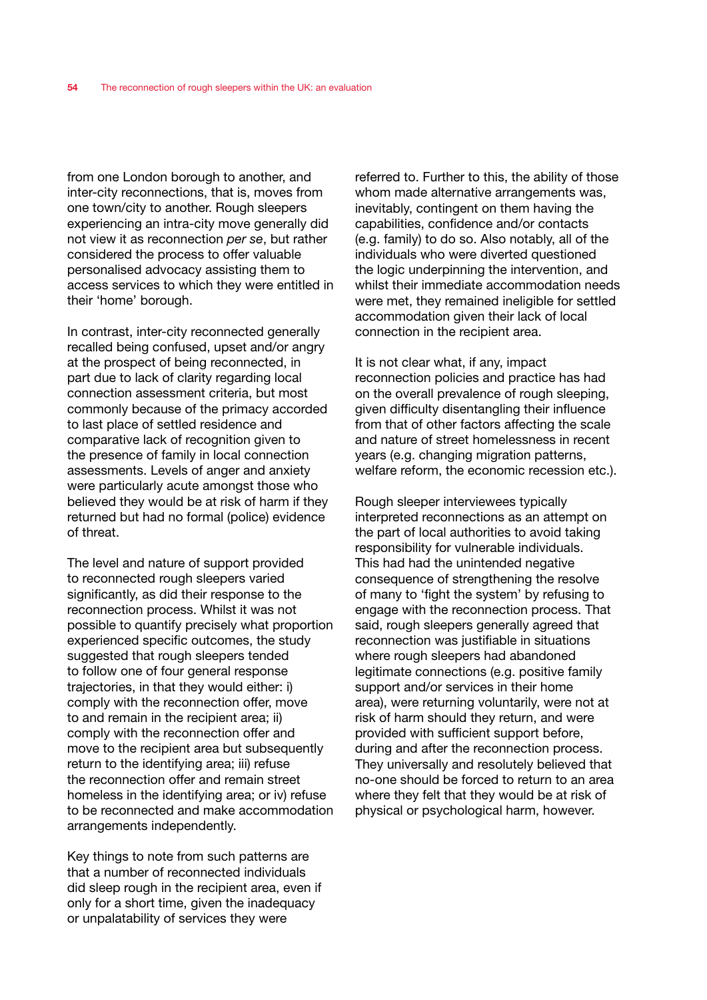from one London borough to another, and inter-city reconnections, that is, moves from one town/city to another. Rough sleepers experiencing an intra-city move generally did not view it as reconnection *per se*, but rather considered the process to offer valuable personalised advocacy assisting them to access services to which they were entitled in their 'home' borough.

In contrast, inter-city reconnected generally recalled being confused, upset and/or angry at the prospect of being reconnected, in part due to lack of clarity regarding local connection assessment criteria, but most commonly because of the primacy accorded to last place of settled residence and comparative lack of recognition given to the presence of family in local connection assessments. Levels of anger and anxiety were particularly acute amongst those who believed they would be at risk of harm if they returned but had no formal (police) evidence of threat.

The level and nature of support provided to reconnected rough sleepers varied significantly, as did their response to the reconnection process. Whilst it was not possible to quantify precisely what proportion experienced specific outcomes, the study suggested that rough sleepers tended to follow one of four general response trajectories, in that they would either: i) comply with the reconnection offer, move to and remain in the recipient area; ii) comply with the reconnection offer and move to the recipient area but subsequently return to the identifying area; iii) refuse the reconnection offer and remain street homeless in the identifying area; or iv) refuse to be reconnected and make accommodation arrangements independently.

Key things to note from such patterns are that a number of reconnected individuals did sleep rough in the recipient area, even if only for a short time, given the inadequacy or unpalatability of services they were

referred to. Further to this, the ability of those whom made alternative arrangements was. inevitably, contingent on them having the capabilities, confidence and/or contacts (e.g. family) to do so. Also notably, all of the individuals who were diverted questioned the logic underpinning the intervention, and whilst their immediate accommodation needs were met, they remained ineligible for settled accommodation given their lack of local connection in the recipient area.

It is not clear what, if any, impact reconnection policies and practice has had on the overall prevalence of rough sleeping, given difficulty disentangling their influence from that of other factors affecting the scale and nature of street homelessness in recent years (e.g. changing migration patterns, welfare reform, the economic recession etc.).

Rough sleeper interviewees typically interpreted reconnections as an attempt on the part of local authorities to avoid taking responsibility for vulnerable individuals. This had had the unintended negative consequence of strengthening the resolve of many to 'fight the system' by refusing to engage with the reconnection process. That said, rough sleepers generally agreed that reconnection was justifiable in situations where rough sleepers had abandoned legitimate connections (e.g. positive family support and/or services in their home area), were returning voluntarily, were not at risk of harm should they return, and were provided with sufficient support before, during and after the reconnection process. They universally and resolutely believed that no-one should be forced to return to an area where they felt that they would be at risk of physical or psychological harm, however.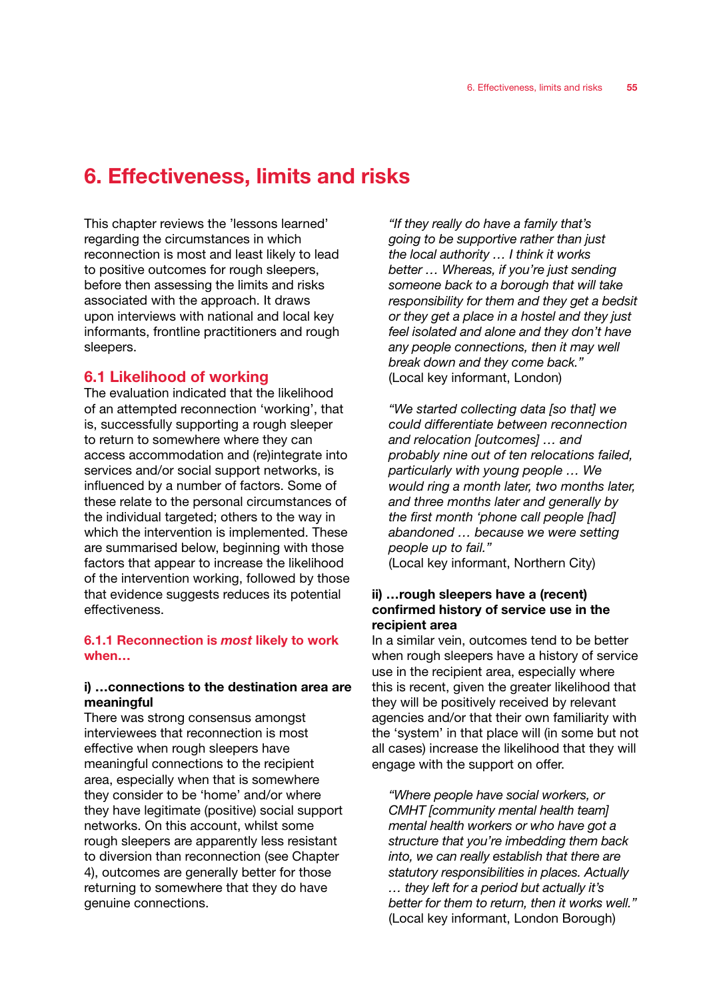# 6. Effectiveness, limits and risks

This chapter reviews the 'lessons learned' regarding the circumstances in which reconnection is most and least likely to lead to positive outcomes for rough sleepers, before then assessing the limits and risks associated with the approach. It draws upon interviews with national and local key informants, frontline practitioners and rough sleepers.

# 6.1 Likelihood of working

The evaluation indicated that the likelihood of an attempted reconnection 'working', that is, successfully supporting a rough sleeper to return to somewhere where they can access accommodation and (re)integrate into services and/or social support networks, is influenced by a number of factors. Some of these relate to the personal circumstances of the individual targeted; others to the way in which the intervention is implemented. These are summarised below, beginning with those factors that appear to increase the likelihood of the intervention working, followed by those that evidence suggests reduces its potential effectiveness.

### 6.1.1 Reconnection is *most* likely to work when…

# i) …connections to the destination area are meaningful

There was strong consensus amongst interviewees that reconnection is most effective when rough sleepers have meaningful connections to the recipient area, especially when that is somewhere they consider to be 'home' and/or where they have legitimate (positive) social support networks. On this account, whilst some rough sleepers are apparently less resistant to diversion than reconnection (see Chapter 4), outcomes are generally better for those returning to somewhere that they do have genuine connections.

*"If they really do have a family that's going to be supportive rather than just the local authority … I think it works better … Whereas, if you're just sending someone back to a borough that will take responsibility for them and they get a bedsit or they get a place in a hostel and they just feel isolated and alone and they don't have any people connections, then it may well break down and they come back."* (Local key informant, London)

*"We started collecting data [so that] we could differentiate between reconnection and relocation [outcomes] … and probably nine out of ten relocations failed, particularly with young people … We would ring a month later, two months later, and three months later and generally by the first month 'phone call people [had] abandoned … because we were setting people up to fail."* 

(Local key informant, Northern City)

# ii) …rough sleepers have a (recent) confirmed history of service use in the recipient area

In a similar vein, outcomes tend to be better when rough sleepers have a history of service use in the recipient area, especially where this is recent, given the greater likelihood that they will be positively received by relevant agencies and/or that their own familiarity with the 'system' in that place will (in some but not all cases) increase the likelihood that they will engage with the support on offer.

*"Where people have social workers, or CMHT [community mental health team] mental health workers or who have got a structure that you're imbedding them back into, we can really establish that there are statutory responsibilities in places. Actually … they left for a period but actually it's better for them to return, then it works well."*  (Local key informant, London Borough)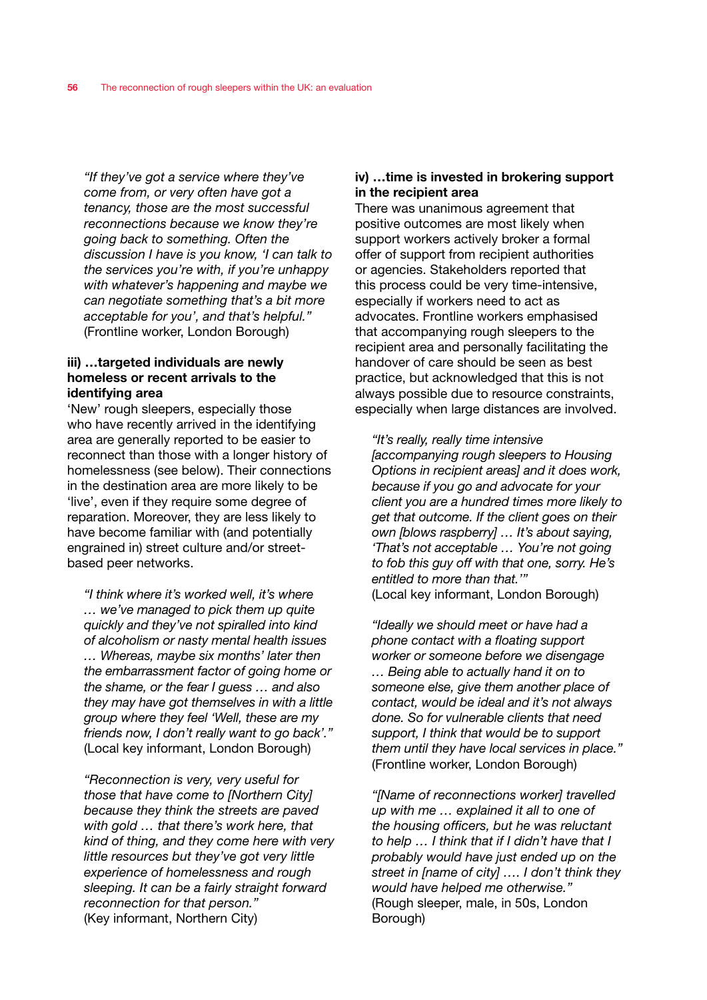*"If they've got a service where they've come from, or very often have got a tenancy, those are the most successful reconnections because we know they're going back to something. Often the discussion I have is you know, 'I can talk to the services you're with, if you're unhappy with whatever's happening and maybe we can negotiate something that's a bit more acceptable for you', and that's helpful."*  (Frontline worker, London Borough)

# iii) …targeted individuals are newly homeless or recent arrivals to the identifying area

'New' rough sleepers, especially those who have recently arrived in the identifying area are generally reported to be easier to reconnect than those with a longer history of homelessness (see below). Their connections in the destination area are more likely to be 'live', even if they require some degree of reparation. Moreover, they are less likely to have become familiar with (and potentially engrained in) street culture and/or streetbased peer networks.

*"I think where it's worked well, it's where … we've managed to pick them up quite quickly and they've not spiralled into kind of alcoholism or nasty mental health issues … Whereas, maybe six months' later then the embarrassment factor of going home or the shame, or the fear I guess … and also they may have got themselves in with a little group where they feel 'Well, these are my friends now, I don't really want to go back'."*  (Local key informant, London Borough)

*"Reconnection is very, very useful for those that have come to [Northern City] because they think the streets are paved with gold … that there's work here, that kind of thing, and they come here with very little resources but they've got very little experience of homelessness and rough sleeping. It can be a fairly straight forward reconnection for that person."*  (Key informant, Northern City)

# iv) …time is invested in brokering support in the recipient area

There was unanimous agreement that positive outcomes are most likely when support workers actively broker a formal offer of support from recipient authorities or agencies. Stakeholders reported that this process could be very time-intensive, especially if workers need to act as advocates. Frontline workers emphasised that accompanying rough sleepers to the recipient area and personally facilitating the handover of care should be seen as best practice, but acknowledged that this is not always possible due to resource constraints, especially when large distances are involved.

*"It's really, really time intensive [accompanying rough sleepers to Housing Options in recipient areas] and it does work, because if you go and advocate for your client you are a hundred times more likely to get that outcome. If the client goes on their own [blows raspberry] … It's about saying, 'That's not acceptable … You're not going to fob this guy off with that one, sorry. He's entitled to more than that.'"*  (Local key informant, London Borough)

*"Ideally we should meet or have had a phone contact with a floating support worker or someone before we disengage … Being able to actually hand it on to someone else, give them another place of contact, would be ideal and it's not always done. So for vulnerable clients that need support, I think that would be to support them until they have local services in place."*  (Frontline worker, London Borough)

*"[Name of reconnections worker] travelled up with me … explained it all to one of the housing officers, but he was reluctant to help … I think that if I didn't have that I probably would have just ended up on the street in [name of city] …. I don't think they would have helped me otherwise."*  (Rough sleeper, male, in 50s, London Borough)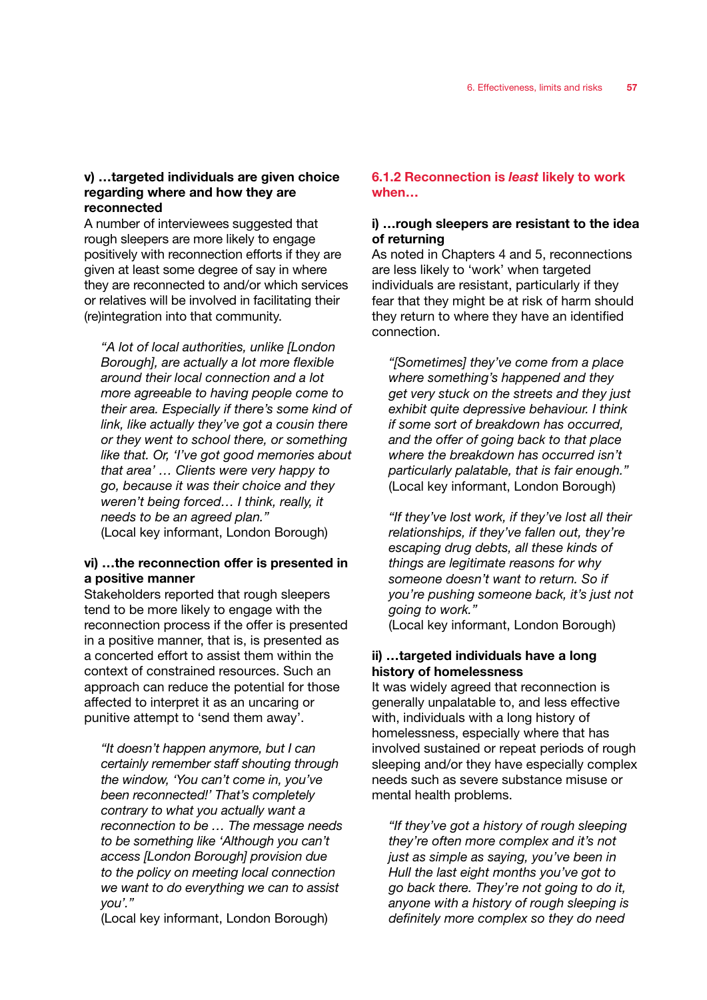#### v) …targeted individuals are given choice regarding where and how they are reconnected

A number of interviewees suggested that rough sleepers are more likely to engage positively with reconnection efforts if they are given at least some degree of say in where they are reconnected to and/or which services or relatives will be involved in facilitating their (re)integration into that community.

*"A lot of local authorities, unlike [London Borough], are actually a lot more flexible around their local connection and a lot more agreeable to having people come to their area. Especially if there's some kind of link, like actually they've got a cousin there or they went to school there, or something like that. Or, 'I've got good memories about that area' … Clients were very happy to go, because it was their choice and they weren't being forced… I think, really, it needs to be an agreed plan."*  (Local key informant, London Borough)

#### vi) …the reconnection offer is presented in a positive manner

Stakeholders reported that rough sleepers tend to be more likely to engage with the reconnection process if the offer is presented in a positive manner, that is, is presented as a concerted effort to assist them within the context of constrained resources. Such an approach can reduce the potential for those affected to interpret it as an uncaring or punitive attempt to 'send them away'.

*"It doesn't happen anymore, but I can certainly remember staff shouting through the window, 'You can't come in, you've been reconnected!' That's completely contrary to what you actually want a reconnection to be … The message needs to be something like 'Although you can't access [London Borough] provision due to the policy on meeting local connection we want to do everything we can to assist you'."* 

(Local key informant, London Borough)

#### 6.1.2 Reconnection is *least* likely to work when…

#### i) …rough sleepers are resistant to the idea of returning

As noted in Chapters 4 and 5, reconnections are less likely to 'work' when targeted individuals are resistant, particularly if they fear that they might be at risk of harm should they return to where they have an identified connection.

*"[Sometimes] they've come from a place where something's happened and they get very stuck on the streets and they just exhibit quite depressive behaviour. I think if some sort of breakdown has occurred, and the offer of going back to that place where the breakdown has occurred isn't particularly palatable, that is fair enough."*  (Local key informant, London Borough)

*"If they've lost work, if they've lost all their relationships, if they've fallen out, they're escaping drug debts, all these kinds of things are legitimate reasons for why someone doesn't want to return. So if you're pushing someone back, it's just not going to work."*  (Local key informant, London Borough)

ii) …targeted individuals have a long history of homelessness

It was widely agreed that reconnection is generally unpalatable to, and less effective with, individuals with a long history of homelessness, especially where that has involved sustained or repeat periods of rough sleeping and/or they have especially complex needs such as severe substance misuse or mental health problems.

*"If they've got a history of rough sleeping they're often more complex and it's not just as simple as saying, you've been in Hull the last eight months you've got to go back there. They're not going to do it, anyone with a history of rough sleeping is definitely more complex so they do need*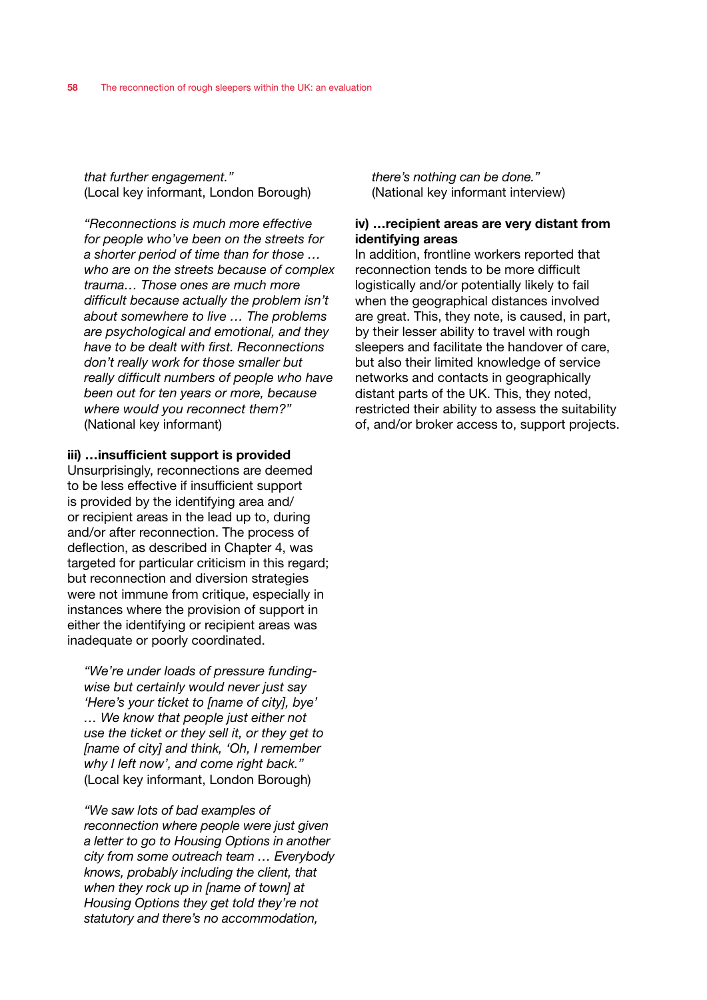*that further engagement."*  (Local key informant, London Borough)

*"Reconnections is much more effective for people who've been on the streets for a shorter period of time than for those … who are on the streets because of complex trauma… Those ones are much more difficult because actually the problem isn't about somewhere to live … The problems are psychological and emotional, and they have to be dealt with first. Reconnections don't really work for those smaller but really difficult numbers of people who have been out for ten years or more, because where would you reconnect them?"*  (National key informant)

#### iii) …insufficient support is provided

Unsurprisingly, reconnections are deemed to be less effective if insufficient support is provided by the identifying area and/ or recipient areas in the lead up to, during and/or after reconnection. The process of deflection, as described in Chapter 4, was targeted for particular criticism in this regard; but reconnection and diversion strategies were not immune from critique, especially in instances where the provision of support in either the identifying or recipient areas was inadequate or poorly coordinated.

*"We're under loads of pressure fundingwise but certainly would never just say 'Here's your ticket to [name of city], bye' … We know that people just either not use the ticket or they sell it, or they get to [name of city] and think, 'Oh, I remember why I left now', and come right back."*  (Local key informant, London Borough)

*"We saw lots of bad examples of reconnection where people were just given a letter to go to Housing Options in another city from some outreach team … Everybody knows, probably including the client, that when they rock up in [name of town] at Housing Options they get told they're not statutory and there's no accommodation,* 

*there's nothing can be done."*  (National key informant interview)

#### iv) …recipient areas are very distant from identifying areas

In addition, frontline workers reported that reconnection tends to be more difficult logistically and/or potentially likely to fail when the geographical distances involved are great. This, they note, is caused, in part, by their lesser ability to travel with rough sleepers and facilitate the handover of care, but also their limited knowledge of service networks and contacts in geographically distant parts of the UK. This, they noted, restricted their ability to assess the suitability of, and/or broker access to, support projects.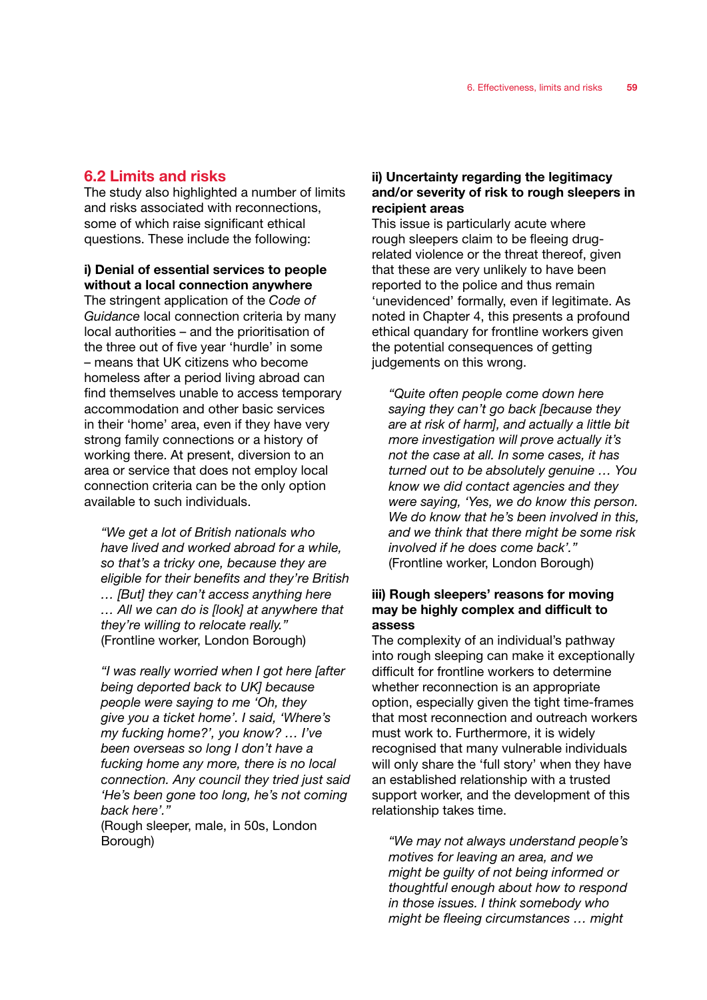#### 6.2 Limits and risks

The study also highlighted a number of limits and risks associated with reconnections, some of which raise significant ethical questions. These include the following:

#### i) Denial of essential services to people without a local connection anywhere

The stringent application of the *Code of Guidance* local connection criteria by many local authorities – and the prioritisation of the three out of five year 'hurdle' in some – means that UK citizens who become homeless after a period living abroad can find themselves unable to access temporary accommodation and other basic services in their 'home' area, even if they have very strong family connections or a history of working there. At present, diversion to an area or service that does not employ local connection criteria can be the only option available to such individuals.

*"We get a lot of British nationals who have lived and worked abroad for a while, so that's a tricky one, because they are eligible for their benefits and they're British … [But] they can't access anything here … All we can do is [look] at anywhere that they're willing to relocate really."*  (Frontline worker, London Borough)

*"I was really worried when I got here [after being deported back to UK] because people were saying to me 'Oh, they give you a ticket home'. I said, 'Where's my fucking home?', you know? … I've been overseas so long I don't have a fucking home any more, there is no local connection. Any council they tried just said 'He's been gone too long, he's not coming back here'."* 

(Rough sleeper, male, in 50s, London Borough)

#### ii) Uncertainty regarding the legitimacy and/or severity of risk to rough sleepers in recipient areas

This issue is particularly acute where rough sleepers claim to be fleeing drugrelated violence or the threat thereof, given that these are very unlikely to have been reported to the police and thus remain 'unevidenced' formally, even if legitimate. As noted in Chapter 4, this presents a profound ethical quandary for frontline workers given the potential consequences of getting judgements on this wrong.

*"Quite often people come down here saying they can't go back [because they are at risk of harm], and actually a little bit more investigation will prove actually it's not the case at all. In some cases, it has turned out to be absolutely genuine … You know we did contact agencies and they were saying, 'Yes, we do know this person. We do know that he's been involved in this, and we think that there might be some risk involved if he does come back'."*  (Frontline worker, London Borough)

#### iii) Rough sleepers' reasons for moving may be highly complex and difficult to assess

The complexity of an individual's pathway into rough sleeping can make it exceptionally difficult for frontline workers to determine whether reconnection is an appropriate option, especially given the tight time-frames that most reconnection and outreach workers must work to. Furthermore, it is widely recognised that many vulnerable individuals will only share the 'full story' when they have an established relationship with a trusted support worker, and the development of this relationship takes time.

*"We may not always understand people's motives for leaving an area, and we might be guilty of not being informed or thoughtful enough about how to respond in those issues. I think somebody who might be fleeing circumstances … might*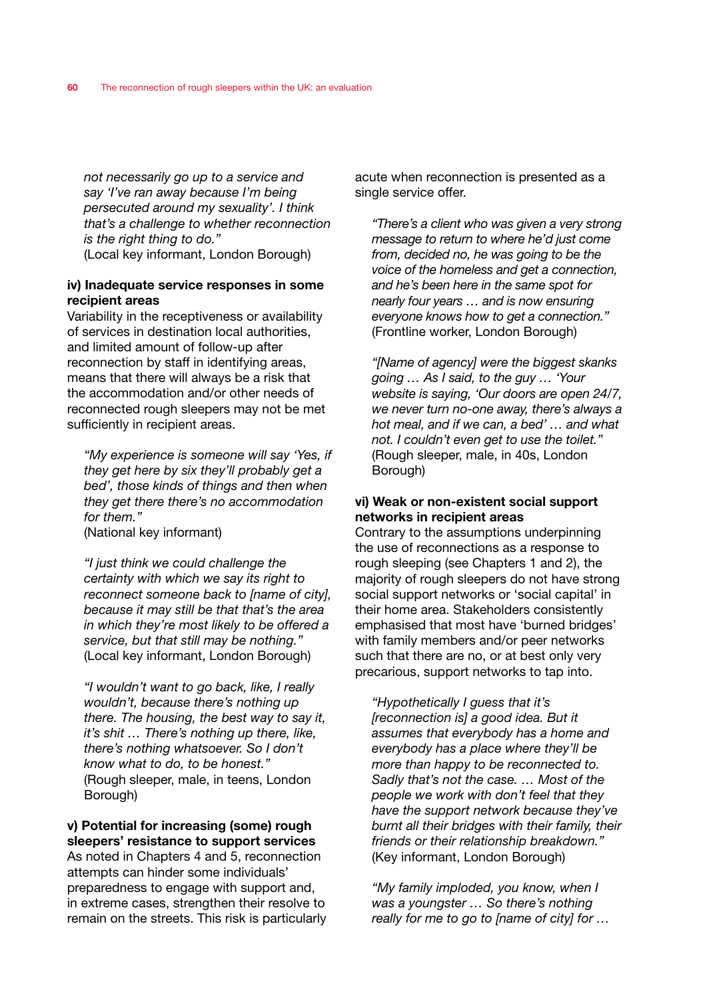*not necessarily go up to a service and say 'I've ran away because I'm being persecuted around my sexuality'. I think that's a challenge to whether reconnection is the right thing to do."* (Local key informant, London Borough)

#### iv) Inadequate service responses in some recipient areas

Variability in the receptiveness or availability of services in destination local authorities, and limited amount of follow-up after reconnection by staff in identifying areas, means that there will always be a risk that the accommodation and/or other needs of reconnected rough sleepers may not be met sufficiently in recipient areas.

*"My experience is someone will say 'Yes, if they get here by six they'll probably get a bed', those kinds of things and then when they get there there's no accommodation for them."* 

(National key informant)

*"I just think we could challenge the certainty with which we say its right to reconnect someone back to [name of city], because it may still be that that's the area in which they're most likely to be offered a service, but that still may be nothing."*  (Local key informant, London Borough)

*"I wouldn't want to go back, like, I really wouldn't, because there's nothing up there. The housing, the best way to say it, it's shit … There's nothing up there, like, there's nothing whatsoever. So I don't know what to do, to be honest."*  (Rough sleeper, male, in teens, London Borough)

#### v) Potential for increasing (some) rough sleepers' resistance to support services

As noted in Chapters 4 and 5, reconnection attempts can hinder some individuals' preparedness to engage with support and, in extreme cases, strengthen their resolve to remain on the streets. This risk is particularly acute when reconnection is presented as a single service offer.

*"There's a client who was given a very strong message to return to where he'd just come from, decided no, he was going to be the voice of the homeless and get a connection, and he's been here in the same spot for nearly four years … and is now ensuring everyone knows how to get a connection."*  (Frontline worker, London Borough)

*"[Name of agency] were the biggest skanks going … As I said, to the guy … 'Your website is saying, 'Our doors are open 24/7, we never turn no-one away, there's always a hot meal, and if we can, a bed' … and what not. I couldn't even get to use the toilet."*  (Rough sleeper, male, in 40s, London Borough)

#### vi) Weak or non-existent social support networks in recipient areas

Contrary to the assumptions underpinning the use of reconnections as a response to rough sleeping (see Chapters 1 and 2), the majority of rough sleepers do not have strong social support networks or 'social capital' in their home area. Stakeholders consistently emphasised that most have 'burned bridges' with family members and/or peer networks such that there are no, or at best only very precarious, support networks to tap into.

*"Hypothetically I guess that it's [reconnection is] a good idea. But it assumes that everybody has a home and everybody has a place where they'll be more than happy to be reconnected to. Sadly that's not the case. … Most of the people we work with don't feel that they have the support network because they've burnt all their bridges with their family, their friends or their relationship breakdown."*  (Key informant, London Borough)

*"My family imploded, you know, when I was a youngster … So there's nothing really for me to go to [name of city] for …*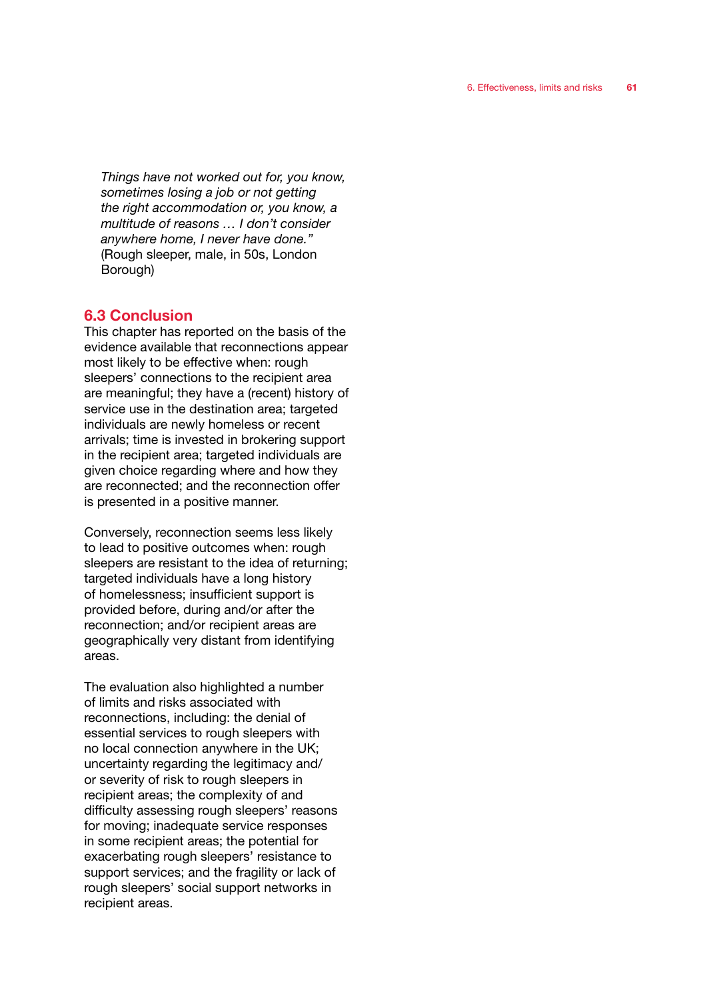*Things have not worked out for, you know, sometimes losing a job or not getting the right accommodation or, you know, a multitude of reasons … I don't consider anywhere home, I never have done."*  (Rough sleeper, male, in 50s, London Borough)

#### 6.3 Conclusion

This chapter has reported on the basis of the evidence available that reconnections appear most likely to be effective when: rough sleepers' connections to the recipient area are meaningful; they have a (recent) history of service use in the destination area; targeted individuals are newly homeless or recent arrivals; time is invested in brokering support in the recipient area; targeted individuals are given choice regarding where and how they are reconnected; and the reconnection offer is presented in a positive manner.

Conversely, reconnection seems less likely to lead to positive outcomes when: rough sleepers are resistant to the idea of returning; targeted individuals have a long history of homelessness; insufficient support is provided before, during and/or after the reconnection; and/or recipient areas are geographically very distant from identifying areas.

The evaluation also highlighted a number of limits and risks associated with reconnections, including: the denial of essential services to rough sleepers with no local connection anywhere in the UK; uncertainty regarding the legitimacy and/ or severity of risk to rough sleepers in recipient areas; the complexity of and difficulty assessing rough sleepers' reasons for moving; inadequate service responses in some recipient areas; the potential for exacerbating rough sleepers' resistance to support services; and the fragility or lack of rough sleepers' social support networks in recipient areas.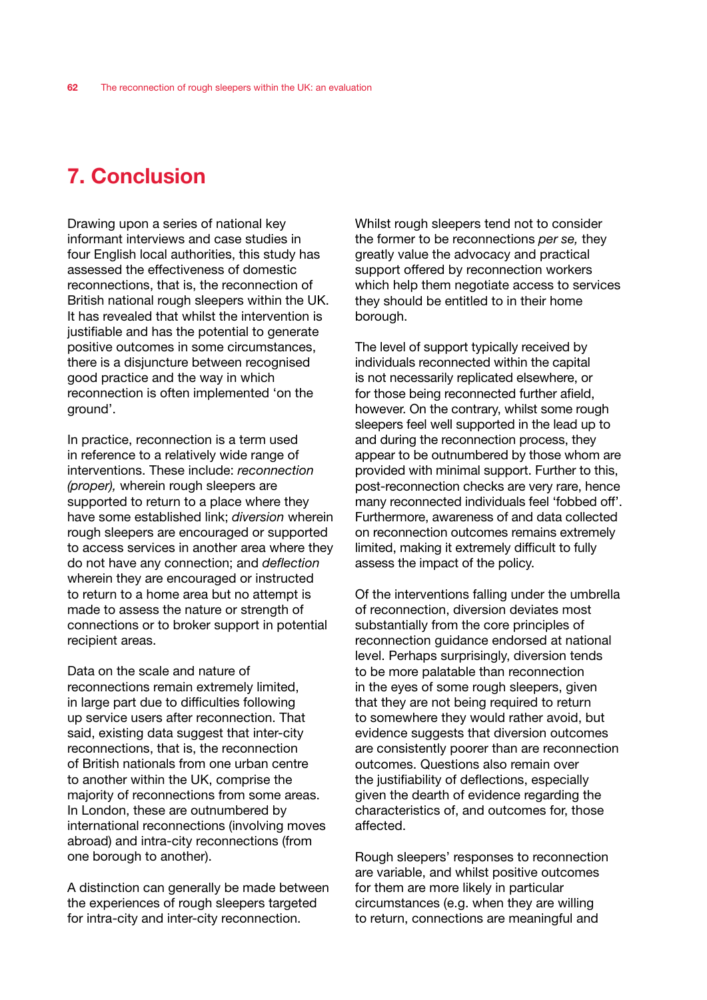# 7. Conclusion

Drawing upon a series of national key informant interviews and case studies in four English local authorities, this study has assessed the effectiveness of domestic reconnections, that is, the reconnection of British national rough sleepers within the UK. It has revealed that whilst the intervention is justifiable and has the potential to generate positive outcomes in some circumstances, there is a disjuncture between recognised good practice and the way in which reconnection is often implemented 'on the ground'.

In practice, reconnection is a term used in reference to a relatively wide range of interventions. These include: *reconnection (proper),* wherein rough sleepers are supported to return to a place where they have some established link; *diversion* wherein rough sleepers are encouraged or supported to access services in another area where they do not have any connection; and *deflection* wherein they are encouraged or instructed to return to a home area but no attempt is made to assess the nature or strength of connections or to broker support in potential recipient areas.

Data on the scale and nature of reconnections remain extremely limited, in large part due to difficulties following up service users after reconnection. That said, existing data suggest that inter-city reconnections, that is, the reconnection of British nationals from one urban centre to another within the UK, comprise the majority of reconnections from some areas. In London, these are outnumbered by international reconnections (involving moves abroad) and intra-city reconnections (from one borough to another).

A distinction can generally be made between the experiences of rough sleepers targeted for intra-city and inter-city reconnection.

Whilst rough sleepers tend not to consider the former to be reconnections *per se,* they greatly value the advocacy and practical support offered by reconnection workers which help them negotiate access to services they should be entitled to in their home borough.

The level of support typically received by individuals reconnected within the capital is not necessarily replicated elsewhere, or for those being reconnected further afield, however. On the contrary, whilst some rough sleepers feel well supported in the lead up to and during the reconnection process, they appear to be outnumbered by those whom are provided with minimal support. Further to this, post-reconnection checks are very rare, hence many reconnected individuals feel 'fobbed off'. Furthermore, awareness of and data collected on reconnection outcomes remains extremely limited, making it extremely difficult to fully assess the impact of the policy.

Of the interventions falling under the umbrella of reconnection, diversion deviates most substantially from the core principles of reconnection guidance endorsed at national level. Perhaps surprisingly, diversion tends to be more palatable than reconnection in the eyes of some rough sleepers, given that they are not being required to return to somewhere they would rather avoid, but evidence suggests that diversion outcomes are consistently poorer than are reconnection outcomes. Questions also remain over the justifiability of deflections, especially given the dearth of evidence regarding the characteristics of, and outcomes for, those affected.

Rough sleepers' responses to reconnection are variable, and whilst positive outcomes for them are more likely in particular circumstances (e.g. when they are willing to return, connections are meaningful and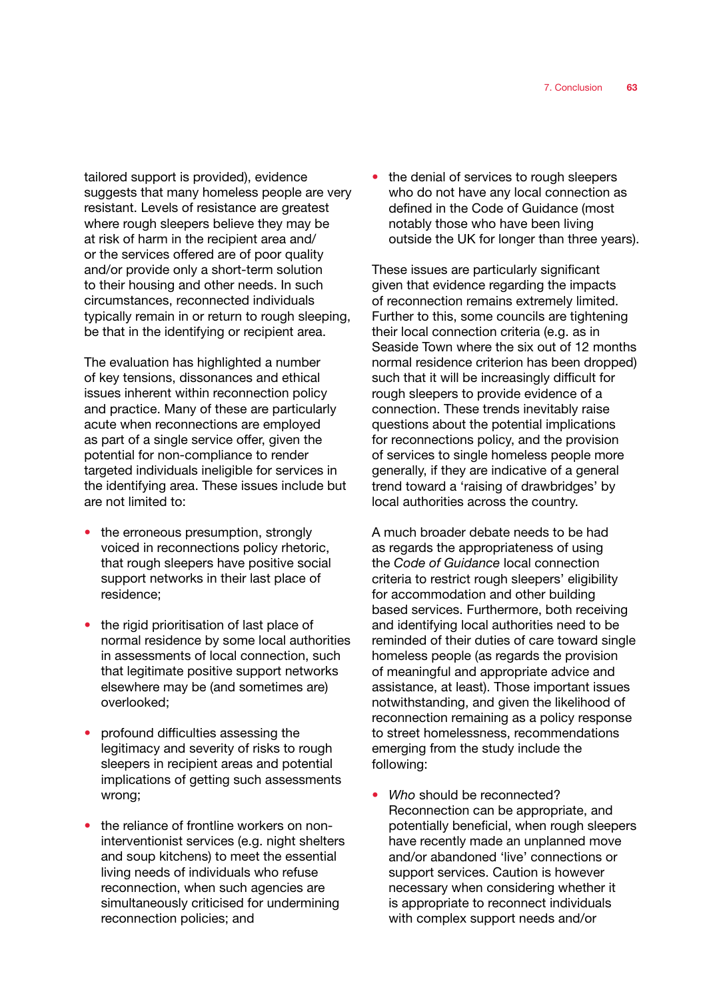tailored support is provided), evidence suggests that many homeless people are very resistant. Levels of resistance are greatest where rough sleepers believe they may be at risk of harm in the recipient area and/ or the services offered are of poor quality and/or provide only a short-term solution to their housing and other needs. In such circumstances, reconnected individuals typically remain in or return to rough sleeping, be that in the identifying or recipient area.

The evaluation has highlighted a number of key tensions, dissonances and ethical issues inherent within reconnection policy and practice. Many of these are particularly acute when reconnections are employed as part of a single service offer, given the potential for non-compliance to render targeted individuals ineligible for services in the identifying area. These issues include but are not limited to:

- the erroneous presumption, strongly voiced in reconnections policy rhetoric, that rough sleepers have positive social support networks in their last place of residence;
- the rigid prioritisation of last place of normal residence by some local authorities in assessments of local connection, such that legitimate positive support networks elsewhere may be (and sometimes are) overlooked;
- profound difficulties assessing the legitimacy and severity of risks to rough sleepers in recipient areas and potential implications of getting such assessments wrong;
- the reliance of frontline workers on noninterventionist services (e.g. night shelters and soup kitchens) to meet the essential living needs of individuals who refuse reconnection, when such agencies are simultaneously criticised for undermining reconnection policies; and

the denial of services to rough sleepers who do not have any local connection as defined in the Code of Guidance (most notably those who have been living outside the UK for longer than three years).

These issues are particularly significant given that evidence regarding the impacts of reconnection remains extremely limited. Further to this, some councils are tightening their local connection criteria (e.g. as in Seaside Town where the six out of 12 months normal residence criterion has been dropped) such that it will be increasingly difficult for rough sleepers to provide evidence of a connection. These trends inevitably raise questions about the potential implications for reconnections policy, and the provision of services to single homeless people more generally, if they are indicative of a general trend toward a 'raising of drawbridges' by local authorities across the country.

A much broader debate needs to be had as regards the appropriateness of using the *Code of Guidance* local connection criteria to restrict rough sleepers' eligibility for accommodation and other building based services. Furthermore, both receiving and identifying local authorities need to be reminded of their duties of care toward single homeless people (as regards the provision of meaningful and appropriate advice and assistance, at least). Those important issues notwithstanding, and given the likelihood of reconnection remaining as a policy response to street homelessness, recommendations emerging from the study include the following:

• Who should be reconnected? Reconnection can be appropriate, and potentially beneficial, when rough sleepers have recently made an unplanned move and/or abandoned 'live' connections or support services. Caution is however necessary when considering whether it is appropriate to reconnect individuals with complex support needs and/or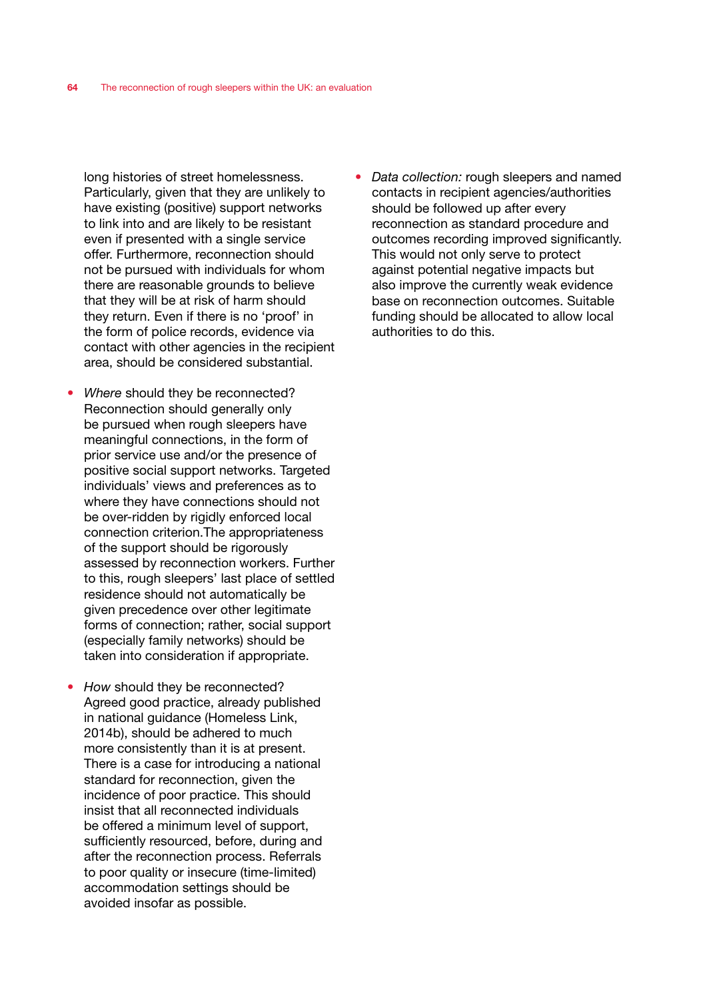long histories of street homelessness. Particularly, given that they are unlikely to have existing (positive) support networks to link into and are likely to be resistant even if presented with a single service offer. Furthermore, reconnection should not be pursued with individuals for whom there are reasonable grounds to believe that they will be at risk of harm should they return. Even if there is no 'proof' in the form of police records, evidence via contact with other agencies in the recipient area, should be considered substantial.

- • *Where* should they be reconnected? Reconnection should generally only be pursued when rough sleepers have meaningful connections, in the form of prior service use and/or the presence of positive social support networks. Targeted individuals' views and preferences as to where they have connections should not be over-ridden by rigidly enforced local connection criterion.The appropriateness of the support should be rigorously assessed by reconnection workers. Further to this, rough sleepers' last place of settled residence should not automatically be given precedence over other legitimate forms of connection; rather, social support (especially family networks) should be taken into consideration if appropriate.
- How should they be reconnected? Agreed good practice, already published in national guidance (Homeless Link, 2014b), should be adhered to much more consistently than it is at present. There is a case for introducing a national standard for reconnection, given the incidence of poor practice. This should insist that all reconnected individuals be offered a minimum level of support, sufficiently resourced, before, during and after the reconnection process. Referrals to poor quality or insecure (time-limited) accommodation settings should be avoided insofar as possible.

*Data collection:* rough sleepers and named contacts in recipient agencies/authorities should be followed up after every reconnection as standard procedure and outcomes recording improved significantly. This would not only serve to protect against potential negative impacts but also improve the currently weak evidence base on reconnection outcomes. Suitable funding should be allocated to allow local authorities to do this.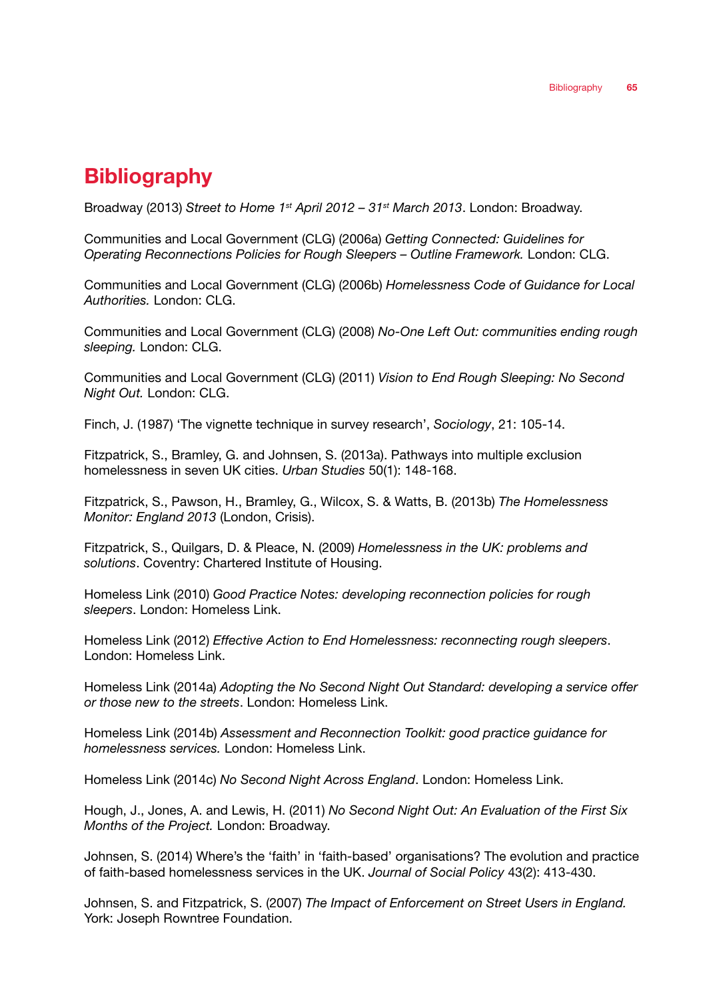# **Bibliography**

Broadway (2013) *Street to Home 1st April 2012 – 31st March 2013*. London: Broadway.

Communities and Local Government (CLG) (2006a) *Getting Connected: Guidelines for Operating Reconnections Policies for Rough Sleepers – Outline Framework.* London: CLG.

Communities and Local Government (CLG) (2006b) *Homelessness Code of Guidance for Local Authorities.* London: CLG.

Communities and Local Government (CLG) (2008) *No-One Left Out: communities ending rough sleeping.* London: CLG.

Communities and Local Government (CLG) (2011) *Vision to End Rough Sleeping: No Second Night Out.* London: CLG.

Finch, J. (1987) 'The vignette technique in survey research', *Sociology*, 21: 105-14.

Fitzpatrick, S., Bramley, G. and Johnsen, S. (2013a). Pathways into multiple exclusion homelessness in seven UK cities. *Urban Studies* 50(1): 148-168.

Fitzpatrick, S., Pawson, H., Bramley, G., Wilcox, S. & Watts, B. (2013b) *The Homelessness Monitor: England 2013* (London, Crisis).

Fitzpatrick, S., Quilgars, D. & Pleace, N. (2009) *Homelessness in the UK: problems and solutions*. Coventry: Chartered Institute of Housing.

Homeless Link (2010) *Good Practice Notes: developing reconnection policies for rough sleepers*. London: Homeless Link.

Homeless Link (2012) *Effective Action to End Homelessness: reconnecting rough sleepers*. London: Homeless Link.

Homeless Link (2014a) *Adopting the No Second Night Out Standard: developing a service offer or those new to the streets*. London: Homeless Link.

Homeless Link (2014b) *Assessment and Reconnection Toolkit: good practice guidance for homelessness services.* London: Homeless Link.

Homeless Link (2014c) *No Second Night Across England*. London: Homeless Link.

Hough, J., Jones, A. and Lewis, H. (2011) *No Second Night Out: An Evaluation of the First Six Months of the Project.* London: Broadway.

Johnsen, S. (2014) Where's the 'faith' in 'faith-based' organisations? The evolution and practice of faith-based homelessness services in the UK. *Journal of Social Policy* 43(2): 413-430.

Johnsen, S. and Fitzpatrick, S. (2007) *The Impact of Enforcement on Street Users in England.* York: Joseph Rowntree Foundation.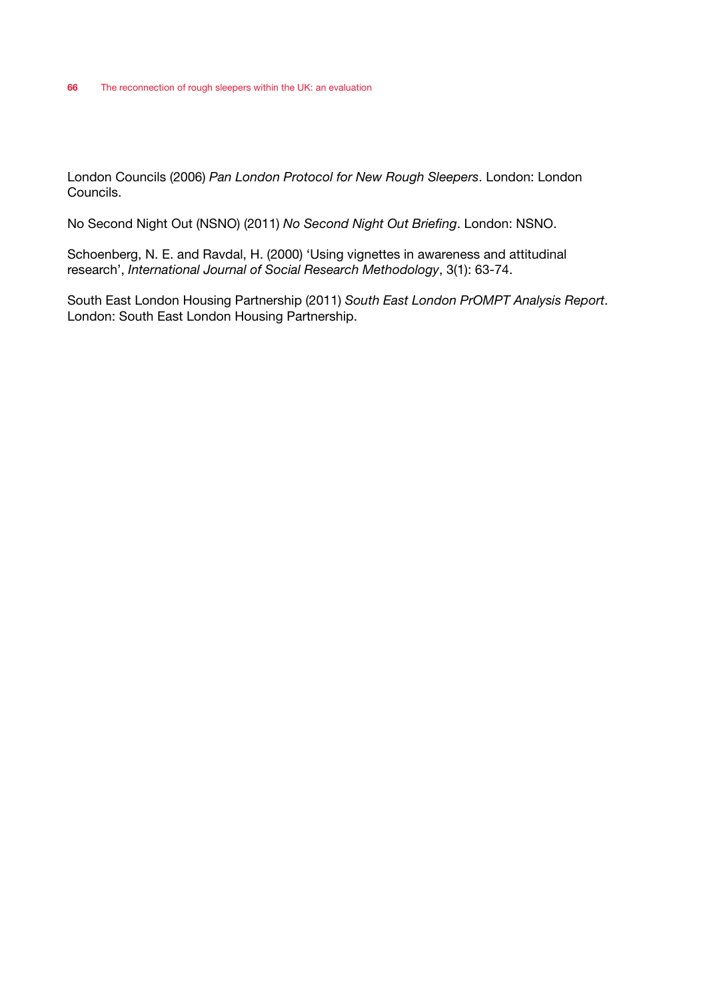London Councils (2006) *Pan London Protocol for New Rough Sleepers*. London: London Councils.

No Second Night Out (NSNO) (2011) *No Second Night Out Briefing*. London: NSNO.

Schoenberg, N. E. and Ravdal, H. (2000) 'Using vignettes in awareness and attitudinal research', *International Journal of Social Research Methodology*, 3(1): 63-74.

South East London Housing Partnership (2011) *South East London PrOMPT Analysis Report*. London: South East London Housing Partnership.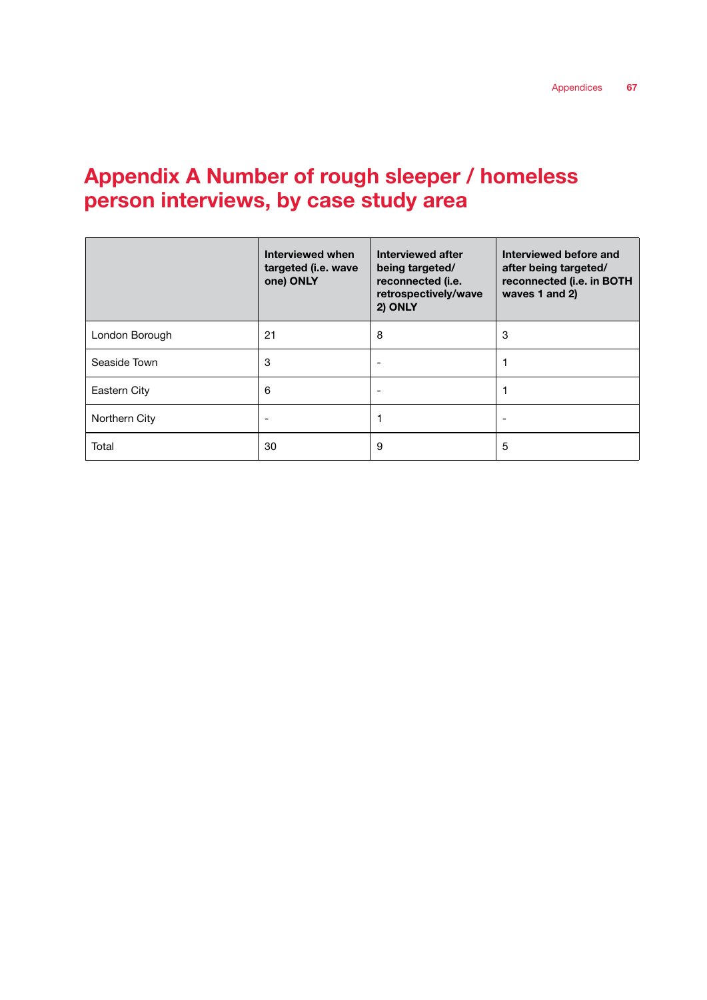# Appendix A Number of rough sleeper / homeless person interviews, by case study area

|                | Interviewed when<br>targeted (i.e. wave<br>one) ONLY | Interviewed after<br>being targeted/<br>reconnected (i.e.<br>retrospectively/wave<br>2) ONLY | Interviewed before and<br>after being targeted/<br>reconnected (i.e. in BOTH<br>waves 1 and 2) |
|----------------|------------------------------------------------------|----------------------------------------------------------------------------------------------|------------------------------------------------------------------------------------------------|
| London Borough | 21                                                   | 8                                                                                            | 3                                                                                              |
| Seaside Town   | 3                                                    |                                                                                              |                                                                                                |
| Eastern City   | 6                                                    |                                                                                              |                                                                                                |
| Northern City  |                                                      |                                                                                              |                                                                                                |
| Total          | 30                                                   | 9                                                                                            | 5                                                                                              |